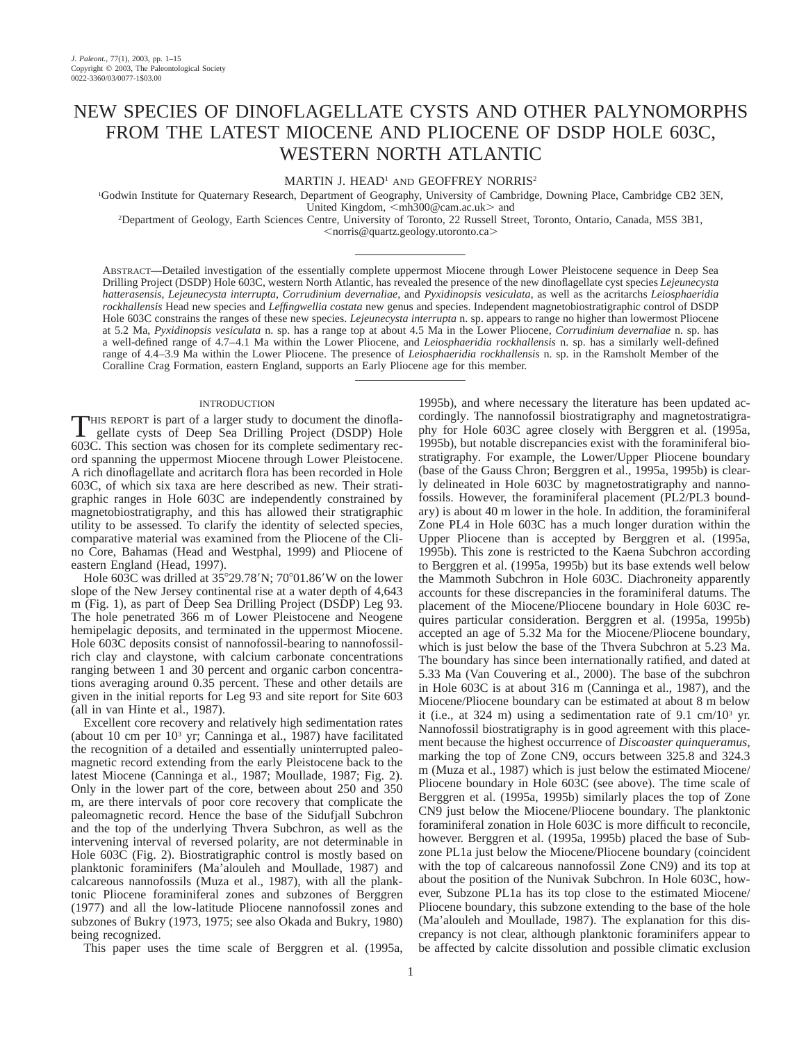# NEW SPECIES OF DINOFLAGELLATE CYSTS AND OTHER PALYNOMORPHS FROM THE LATEST MIOCENE AND PLIOCENE OF DSDP HOLE 603C, WESTERN NORTH ATLANTIC

MARTIN J. HEAD<sup>1</sup> AND GEOFFREY NORRIS<sup>2</sup>

1 Godwin Institute for Quaternary Research, Department of Geography, University of Cambridge, Downing Place, Cambridge CB2 3EN, United Kingdom,  $\langle mh300@cam.ac.uk\rangle$  and

2 Department of Geology, Earth Sciences Centre, University of Toronto, 22 Russell Street, Toronto, Ontario, Canada, M5S 3B1,

<norris@quartz.geology.utoronto.ca>

ABSTRACT—Detailed investigation of the essentially complete uppermost Miocene through Lower Pleistocene sequence in Deep Sea Drilling Project (DSDP) Hole 603C, western North Atlantic, has revealed the presence of the new dinoflagellate cyst species *Lejeunecysta hatterasensis*, *Lejeunecysta interrupta*, *Corrudinium devernaliae*, and *Pyxidinopsis vesiculata*, as well as the acritarchs *Leiosphaeridia rockhallensis* Head new species and *Leffingwellia costata* new genus and species. Independent magnetobiostratigraphic control of DSDP Hole 603C constrains the ranges of these new species. *Lejeunecysta interrupta* n. sp. appears to range no higher than lowermost Pliocene at 5.2 Ma, *Pyxidinopsis vesiculata* n. sp. has a range top at about 4.5 Ma in the Lower Pliocene, *Corrudinium devernaliae* n. sp. has a well-defined range of 4.7–4.1 Ma within the Lower Pliocene, and *Leiosphaeridia rockhallensis* n. sp. has a similarly well-defined range of 4.4–3.9 Ma within the Lower Pliocene. The presence of *Leiosphaeridia rockhallensis* n. sp. in the Ramsholt Member of the Coralline Crag Formation, eastern England, supports an Early Pliocene age for this member.

## INTRODUCTION

THIS REPORT is part of a larger study to document the dinofla-<br>gellate cysts of Deep Sea Drilling Project (DSDP) Hole 603C. This section was chosen for its complete sedimentary record spanning the uppermost Miocene through Lower Pleistocene. A rich dinoflagellate and acritarch flora has been recorded in Hole 603C, of which six taxa are here described as new. Their stratigraphic ranges in Hole 603C are independently constrained by magnetobiostratigraphy, and this has allowed their stratigraphic utility to be assessed. To clarify the identity of selected species, comparative material was examined from the Pliocene of the Clino Core, Bahamas (Head and Westphal, 1999) and Pliocene of eastern England (Head, 1997).

Hole  $60\overline{3}C$  was drilled at  $35^{\circ}29.78'N$ ;  $70^{\circ}01.86'W$  on the lower slope of the New Jersey continental rise at a water depth of 4,643 m (Fig. 1), as part of Deep Sea Drilling Project (DSDP) Leg 93. The hole penetrated 366 m of Lower Pleistocene and Neogene hemipelagic deposits, and terminated in the uppermost Miocene. Hole 603C deposits consist of nannofossil-bearing to nannofossilrich clay and claystone, with calcium carbonate concentrations ranging between 1 and 30 percent and organic carbon concentrations averaging around 0.35 percent. These and other details are given in the initial reports for Leg 93 and site report for Site 603 (all in van Hinte et al., 1987).

Excellent core recovery and relatively high sedimentation rates (about 10 cm per 103 yr; Canninga et al., 1987) have facilitated the recognition of a detailed and essentially uninterrupted paleomagnetic record extending from the early Pleistocene back to the latest Miocene (Canninga et al., 1987; Moullade, 1987; Fig. 2). Only in the lower part of the core, between about 250 and 350 m, are there intervals of poor core recovery that complicate the paleomagnetic record. Hence the base of the Sidufjall Subchron and the top of the underlying Thvera Subchron, as well as the intervening interval of reversed polarity, are not determinable in Hole 603C (Fig. 2). Biostratigraphic control is mostly based on planktonic foraminifers (Ma'alouleh and Moullade, 1987) and calcareous nannofossils (Muza et al., 1987), with all the planktonic Pliocene foraminiferal zones and subzones of Berggren (1977) and all the low-latitude Pliocene nannofossil zones and subzones of Bukry (1973, 1975; see also Okada and Bukry, 1980) being recognized.

This paper uses the time scale of Berggren et al. (1995a,

1995b), and where necessary the literature has been updated accordingly. The nannofossil biostratigraphy and magnetostratigraphy for Hole 603C agree closely with Berggren et al. (1995a, 1995b), but notable discrepancies exist with the foraminiferal biostratigraphy. For example, the Lower/Upper Pliocene boundary (base of the Gauss Chron; Berggren et al., 1995a, 1995b) is clearly delineated in Hole 603C by magnetostratigraphy and nannofossils. However, the foraminiferal placement (PL2/PL3 boundary) is about 40 m lower in the hole. In addition, the foraminiferal Zone PL4 in Hole 603C has a much longer duration within the Upper Pliocene than is accepted by Berggren et al. (1995a, 1995b). This zone is restricted to the Kaena Subchron according to Berggren et al. (1995a, 1995b) but its base extends well below the Mammoth Subchron in Hole 603C. Diachroneity apparently accounts for these discrepancies in the foraminiferal datums. The placement of the Miocene/Pliocene boundary in Hole 603C requires particular consideration. Berggren et al. (1995a, 1995b) accepted an age of 5.32 Ma for the Miocene/Pliocene boundary, which is just below the base of the Thvera Subchron at 5.23 Ma. The boundary has since been internationally ratified, and dated at 5.33 Ma (Van Couvering et al., 2000). The base of the subchron in Hole 603C is at about 316 m (Canninga et al., 1987), and the Miocene/Pliocene boundary can be estimated at about 8 m below it (i.e., at 324 m) using a sedimentation rate of 9.1 cm/ $10<sup>3</sup>$  yr. Nannofossil biostratigraphy is in good agreement with this placement because the highest occurrence of *Discoaster quinqueramus*, marking the top of Zone CN9, occurs between 325.8 and 324.3 m (Muza et al., 1987) which is just below the estimated Miocene/ Pliocene boundary in Hole 603C (see above). The time scale of Berggren et al. (1995a, 1995b) similarly places the top of Zone CN9 just below the Miocene/Pliocene boundary. The planktonic foraminiferal zonation in Hole 603C is more difficult to reconcile, however. Berggren et al. (1995a, 1995b) placed the base of Subzone PL1a just below the Miocene/Pliocene boundary (coincident with the top of calcareous nannofossil Zone CN9) and its top at about the position of the Nunivak Subchron. In Hole 603C, however, Subzone PL1a has its top close to the estimated Miocene/ Pliocene boundary, this subzone extending to the base of the hole (Ma'alouleh and Moullade, 1987). The explanation for this discrepancy is not clear, although planktonic foraminifers appear to be affected by calcite dissolution and possible climatic exclusion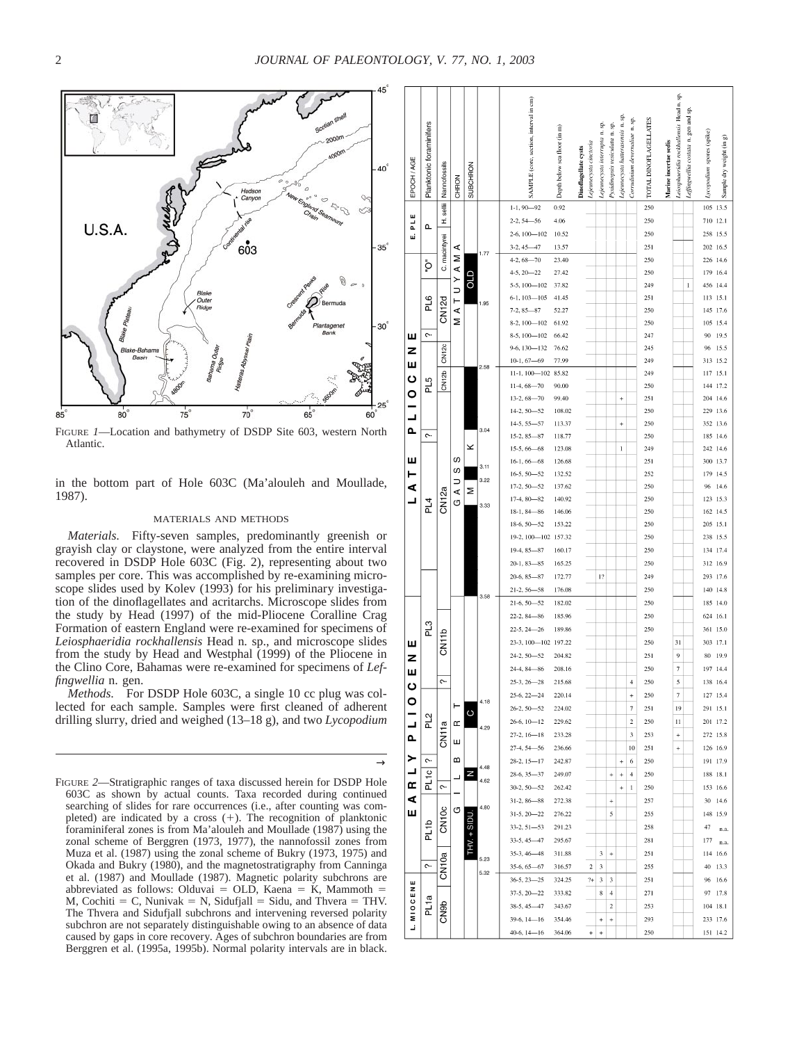$\rightarrow$ 



FIGURE *1*—Location and bathymetry of DSDP Site 603, western North Atlantic.

in the bottom part of Hole 603C (Ma'alouleh and Moullade, 1987).

## MATERIALS AND METHODS

*Materials*.--Fifty-seven samples, predominantly greenish or grayish clay or claystone, were analyzed from the entire interval recovered in DSDP Hole 603C (Fig. 2), representing about two samples per core. This was accomplished by re-examining microscope slides used by Kolev (1993) for his preliminary investigation of the dinoflagellates and acritarchs. Microscope slides from the study by Head (1997) of the mid-Pliocene Coralline Crag Formation of eastern England were re-examined for specimens of *Leiosphaeridia rockhallensis* Head n. sp., and microscope slides from the study by Head and Westphal (1999) of the Pliocene in the Clino Core, Bahamas were re-examined for specimens of *Leffingwellia* n. gen.

*Methods*.—For DSDP Hole 603C, a single 10 cc plug was collected for each sample. Samples were first cleaned of adherent drilling slurry, dried and weighed (13–18 g), and two *Lycopodium*

FIGURE *2*—Stratigraphic ranges of taxa discussed herein for DSDP Hole 603C as shown by actual counts. Taxa recorded during continued searching of slides for rare occurrences (i.e., after counting was completed) are indicated by a cross  $(+)$ . The recognition of planktonic foraminiferal zones is from Ma'alouleh and Moullade (1987) using the zonal scheme of Berggren (1973, 1977), the nannofossil zones from Muza et al. (1987) using the zonal scheme of Bukry (1973, 1975) and Okada and Bukry (1980), and the magnetostratigraphy from Canninga et al. (1987) and Moullade (1987). Magnetic polarity subchrons are abbreviated as follows: Olduvai = OLD, Kaena = K, Mammoth = M, Cochiti = C, Nunivak = N, Sidufjall = Sidu, and Thvera = THV. The Thvera and Sidufjall subchrons and intervening reversed polarity subchron are not separately distinguishable owing to an absence of data caused by gaps in core recovery. Ages of subchron boundaries are from Berggren et al. (1995a, 1995b). Normal polarity intervals are in black.

| EPOCH/AGE                                                                               | Planktonic foraminifers | Nannofossils       | CHRON                 | SUBCHRON    |                                              | SAMPLE (core, section, interval in cm)          | Depth below sea floor (in m) | Dinoflagellate cysts | Lejeunecysta cinctoria | Lejeunecysta interrupta n. sp. | Pyxidinopsis vesiculata n. sp. | Lejeunecysta hatterasensis n. sp. | Corrudinium devernatiae n. sp. | TOTAL DINOFLAGELLATES | Marine incertae sedis | Leiosphaeridia rockhallensis Head n. sp. | Leffingwellia costata n. gen and sp. | Lycopodium spores (spike) | Sample dry weight (in g) |
|-----------------------------------------------------------------------------------------|-------------------------|--------------------|-----------------------|-------------|----------------------------------------------|-------------------------------------------------|------------------------------|----------------------|------------------------|--------------------------------|--------------------------------|-----------------------------------|--------------------------------|-----------------------|-----------------------|------------------------------------------|--------------------------------------|---------------------------|--------------------------|
| P L E<br>цj                                                                             | م                       | H. selli           | ⋖<br>MATUYAM          | OLD         |                                              | $1-1, 90-92$                                    | 0.92                         |                      |                        |                                |                                |                                   |                                | 250                   |                       |                                          |                                      |                           | 105 13.5                 |
|                                                                                         |                         |                    |                       |             | 1.77<br>1.95                                 | $2 - 2, 54 - 56$                                | 4.06                         |                      |                        |                                |                                |                                   |                                | 250                   |                       |                                          |                                      | 710 12.1                  |                          |
|                                                                                         |                         | C. macintyrei      |                       |             |                                              | $2-6, 100 - 102$<br>$3-2, 45-$<br>$-47$         | 10.52<br>13.57               |                      |                        |                                |                                |                                   |                                | 250<br>251            |                       |                                          |                                      |                           | 258 15.5<br>202 16.5     |
| ш<br>z<br>Щ<br>$\circ$<br>$\circ$<br>$\overline{\phantom{0}}$<br>a.<br>ш<br>۳<br>∢<br>⊐ | ġ                       |                    |                       |             |                                              | $4-2, 68 - 70$                                  | 23.40                        |                      |                        |                                |                                |                                   |                                | 250                   |                       |                                          |                                      |                           | 226 14.6                 |
|                                                                                         |                         |                    |                       |             |                                              | $4-5, 20-22$                                    | 27.42                        |                      |                        |                                |                                |                                   |                                | 250                   |                       |                                          |                                      | 179                       | 16.4                     |
|                                                                                         | PL6                     |                    |                       |             |                                              | 5-5, 100-102<br>$6-1, 103 - 105$                | 37.82<br>41.45               |                      |                        |                                |                                |                                   |                                | 249<br>251            |                       |                                          | l                                    | 113                       | 456 14.4<br>15.1         |
|                                                                                         |                         | CN <sub>12d</sub>  |                       |             |                                              | $7-2, 85 - 87$                                  | 52.27                        |                      |                        |                                |                                |                                   |                                | 250                   |                       |                                          |                                      |                           | 145 17.6                 |
|                                                                                         |                         |                    |                       |             |                                              | 8-2, 100-102                                    | 61.92                        |                      |                        |                                |                                |                                   |                                | 250                   |                       |                                          |                                      |                           | 105 15.4                 |
|                                                                                         | ç.                      |                    |                       |             |                                              | 8-5, 100-102                                    | 66.42                        |                      |                        |                                |                                |                                   |                                | 247                   |                       |                                          |                                      | 90                        | 19.5                     |
|                                                                                         |                         | CN <sub>12c</sub>  |                       |             |                                              | $9-6, 130 - 132$<br>$10-1, 67-$<br>$-69$        | 76.62<br>77.99               |                      |                        |                                |                                |                                   |                                | 245<br>249            |                       |                                          |                                      | 96<br>313                 | 15.5<br>15.2             |
|                                                                                         | PL5                     |                    |                       | ×<br>Σ      | 2.58<br>3.04                                 | $11-1, 100 - 102$                               | 85.82                        |                      |                        |                                |                                |                                   |                                | 249                   |                       |                                          |                                      | 117                       | 15.1                     |
|                                                                                         |                         | CN <sub>12b</sub>  | w<br>ပ<br>J<br>∡<br>G |             |                                              | $11-4, 68 - 70$                                 | 90.00                        |                      |                        |                                |                                |                                   |                                | 250                   |                       |                                          |                                      | 144                       | 17.2                     |
|                                                                                         |                         |                    |                       |             |                                              | 13-2, 68-70                                     | 99.40                        |                      |                        |                                |                                | $^{+}$                            |                                | 251                   |                       |                                          |                                      | 204                       | 14.6                     |
|                                                                                         |                         |                    |                       |             |                                              | $14-2, 50-52$<br>14-5, 55-57                    | 108.02<br>113.37             |                      |                        |                                |                                | $^{+}$                            |                                | 250<br>250            |                       |                                          |                                      | 229                       | 13.6<br>352 13.6         |
|                                                                                         | ς.                      |                    |                       |             |                                              | $15-2, 85-87$                                   | 118.77                       |                      |                        |                                |                                |                                   |                                | 250                   |                       |                                          |                                      |                           | 185 14.6                 |
|                                                                                         | $\frac{4}{\pi}$         | CN <sub>12a</sub>  |                       |             |                                              | 15-5, 66-68                                     | 123.08                       |                      |                        |                                |                                | $\bf{l}$                          |                                | 249                   |                       |                                          |                                      |                           | 242 14.6                 |
|                                                                                         |                         |                    |                       |             | 3.11                                         | $16-1, 66-68$                                   | 126.68                       |                      |                        |                                |                                |                                   |                                | 251                   |                       |                                          |                                      |                           | 300 13.7                 |
|                                                                                         |                         |                    |                       |             | 3.22                                         | $16-5, 50-$<br>$-52$<br>$17-2, 50 - 52$         | 132.52<br>137.62             |                      |                        |                                |                                |                                   |                                | 252<br>250            |                       |                                          |                                      | 179<br>96                 | 14.5<br>14.6             |
|                                                                                         |                         |                    |                       |             |                                              | 17-4, 80-82                                     | 140.92                       |                      |                        |                                |                                |                                   |                                | 250                   |                       |                                          |                                      |                           | 123 15.3                 |
|                                                                                         |                         |                    |                       |             | 3.33                                         | $18-1, 84-86$                                   | 146.06                       |                      |                        |                                |                                |                                   |                                | 250                   |                       |                                          |                                      |                           | 162 14.5                 |
|                                                                                         |                         |                    |                       |             |                                              | $18-6, 50-52$                                   | 153.22                       |                      |                        |                                |                                |                                   |                                | 250                   |                       |                                          |                                      |                           | 205 15.1                 |
|                                                                                         |                         |                    |                       |             |                                              | 19-2, 100-102 157.32<br>19-4, 85-87             | 160.17                       |                      |                        |                                |                                |                                   |                                | 250<br>250            |                       |                                          |                                      | 238<br>134                | 15.5<br>17.4             |
|                                                                                         |                         |                    |                       |             |                                              | $20-1, 83-85$                                   | 165.25                       |                      |                        |                                |                                |                                   |                                | 250                   |                       |                                          |                                      |                           | 312 16.9                 |
|                                                                                         |                         |                    |                       |             |                                              | 20-6, 85-87                                     | 172.77                       |                      |                        | 1?                             |                                |                                   |                                | 249                   |                       |                                          |                                      |                           | 293 17.6                 |
|                                                                                         |                         |                    |                       |             | 3.58                                         | $21-2, 56 - 58$                                 | 176.08                       |                      |                        |                                |                                |                                   |                                | 250                   |                       |                                          |                                      |                           | 140 14.8                 |
| ш<br>z<br>ш<br>ပ<br>o<br>Δ.<br>≻<br>Œ<br>⋖<br>ш                                         | PL3                     |                    |                       |             |                                              | $21-6, 50-52$                                   | 182.02                       |                      |                        |                                |                                |                                   |                                | 250                   |                       |                                          |                                      |                           | 185 14.0                 |
|                                                                                         |                         |                    |                       |             |                                              | $22-2, 84-86$                                   | 185.96                       |                      |                        |                                |                                |                                   |                                | 250                   |                       |                                          |                                      | 624                       | 16.1                     |
|                                                                                         |                         | CN <sub>11</sub> b |                       |             |                                              | $22-5, 24-$<br>$^{-26}$<br>23-3, 100-102 197.22 | 189.86                       |                      |                        |                                |                                |                                   |                                | 250<br>250            |                       | 31                                       |                                      | 361                       | 15.0<br>303 17.1         |
|                                                                                         |                         |                    |                       |             |                                              | 24-2, 50-52                                     | 204.82                       |                      |                        |                                |                                |                                   |                                | 251                   |                       | 9                                        |                                      | 80                        | 19.9                     |
|                                                                                         |                         |                    |                       |             |                                              | 24-4, 84-86                                     | 208.16                       |                      |                        |                                |                                |                                   |                                | 250                   |                       |                                          |                                      |                           | 197 14.4                 |
|                                                                                         |                         | ç.                 |                       |             |                                              | $25-3, 26-28$                                   | 215.68                       |                      |                        |                                |                                |                                   | 4                              | 250                   |                       | 5                                        |                                      |                           | 138 16.4                 |
|                                                                                         | P <sub>2</sub>          |                    | ⊢                     |             | 4.18                                         | $25-6, 22-24$                                   | 220.14                       |                      |                        |                                |                                |                                   | $\ddot{}$                      | 250                   |                       | 7                                        |                                      |                           | 127 15.4                 |
|                                                                                         |                         |                    | Œ                     | O           | 4.29<br>4.48<br>4.62<br>4.80<br>5.23<br>5.32 | 26-2, 50-52<br>$26-6, 10-12$                    | 224.02<br>229.62             |                      |                        |                                |                                |                                   | 7<br>$\mathbf 2$               | 251<br>250            |                       | 19<br>$_{11}$                            |                                      |                           | 291 15.1<br>201 17.2     |
|                                                                                         |                         | CN <sub>11a</sub>  |                       |             |                                              | $27-2, 16-18$                                   | 233.28                       |                      |                        |                                |                                |                                   | 3                              | 253                   |                       | $\ddot{}$                                |                                      |                           | 272 15.8                 |
|                                                                                         |                         |                    | ш                     |             |                                              | 27-4, 54-56                                     | 236.66                       |                      |                        |                                |                                |                                   | 10                             | 251                   |                       | $\ddot{}$                                |                                      |                           | 126 16.9                 |
|                                                                                         | ç.                      |                    | മ                     |             |                                              | $28-2, 15-17$                                   | 242.87                       |                      |                        |                                |                                | $\qquad \qquad +$                 | 6                              | 250                   |                       |                                          |                                      |                           | 191 17.9                 |
|                                                                                         | PL1c                    | ç.                 | ┙                     | N           |                                              | 28-6, 35-37                                     | 249.07                       |                      |                        |                                | $\ddot{}$                      | $\ddot{}$                         | 4                              | 250                   |                       |                                          |                                      |                           | 188 18.1                 |
|                                                                                         | PL <sub>1b</sub>        |                    |                       |             |                                              | $30-2, 50-52$<br>31-2, 86-88                    | 262.42<br>272.38             |                      |                        |                                | $^{+}$                         | $\ddot{}$                         | $\mathbf{l}$                   | 250<br>257            |                       |                                          |                                      |                           | 153 16.6<br>30 14.6      |
|                                                                                         |                         |                    | O                     |             |                                              | $31-5, 20-22$                                   | 276.22                       |                      |                        |                                | 5                              |                                   |                                | 255                   |                       |                                          |                                      |                           | 148 15.9                 |
|                                                                                         |                         | CN <sub>10</sub> c |                       |             |                                              | $33-2, 51-53$                                   | 291.23                       |                      |                        |                                |                                |                                   |                                | 258                   |                       |                                          |                                      | 47                        | n.a.                     |
|                                                                                         |                         |                    |                       | THV. + SIDU |                                              | 33-5, 45-47                                     | 295.67                       |                      |                        |                                |                                |                                   |                                | 281                   |                       |                                          |                                      | 177                       | n.a.                     |
|                                                                                         |                         | CN <sub>10a</sub>  |                       |             |                                              | 35-3, 46-48                                     | 311.88                       |                      |                        | 3                              | $^{+}$                         |                                   |                                | 251                   |                       |                                          |                                      |                           | 114 16.6                 |
|                                                                                         | ç.                      |                    |                       |             |                                              | 35-6, 65-67<br>$36-5, 23-25$                    | 316.57<br>324.25             |                      | 2<br>$^{?+}$           | 3<br>3                         | 3                              |                                   |                                | 255<br>251            |                       |                                          |                                      | 40                        | 13.3<br>96 16.6          |
| ш<br>z                                                                                  |                         |                    |                       |             |                                              | 37-5, 20-22                                     | 333.82                       |                      |                        | 8                              | $\overline{\mathcal{A}}$       |                                   |                                | 271                   |                       |                                          |                                      | 97                        | 17.8                     |
| 등<br>$\frac{0}{2}$<br>نہ                                                                | PL1a                    | CN <sub>9</sub> b  |                       |             |                                              | 38-5, 45-47                                     | 343.67                       |                      |                        |                                | $\boldsymbol{2}$               |                                   |                                | 253                   |                       |                                          |                                      |                           | 104 18.1                 |
|                                                                                         |                         |                    |                       |             |                                              | $39-6, 14-16$                                   | 354.46                       |                      |                        | $\ddot{}$                      | $^{+}$                         |                                   |                                | 293                   |                       |                                          |                                      |                           | 233 17.6                 |
|                                                                                         |                         |                    |                       |             |                                              | $40-6, 14-16$                                   | 364.06                       |                      | $\ddot{}$              | $\ddot{}$                      |                                |                                   |                                | 250                   |                       |                                          |                                      |                           | 151 14.2                 |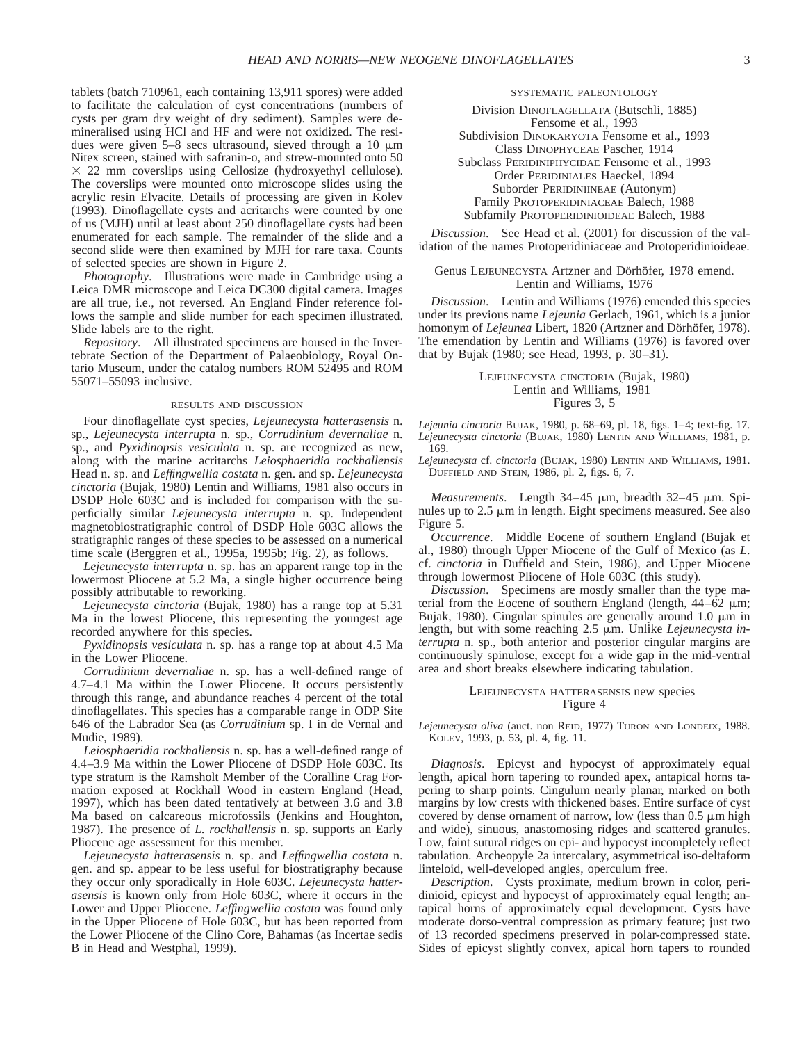tablets (batch 710961, each containing 13,911 spores) were added to facilitate the calculation of cyst concentrations (numbers of cysts per gram dry weight of dry sediment). Samples were demineralised using HCl and HF and were not oxidized. The residues were given  $5-8$  secs ultrasound, sieved through a 10  $\mu$ m Nitex screen, stained with safranin-o, and strew-mounted onto 50  $\times$  22 mm coverslips using Cellosize (hydroxyethyl cellulose). The coverslips were mounted onto microscope slides using the acrylic resin Elvacite. Details of processing are given in Kolev (1993). Dinoflagellate cysts and acritarchs were counted by one of us (MJH) until at least about 250 dinoflagellate cysts had been enumerated for each sample. The remainder of the slide and a second slide were then examined by MJH for rare taxa. Counts of selected species are shown in Figure 2.

*Photography*.—Illustrations were made in Cambridge using a Leica DMR microscope and Leica DC300 digital camera. Images are all true, i.e., not reversed. An England Finder reference follows the sample and slide number for each specimen illustrated. Slide labels are to the right.

*Repository*.—All illustrated specimens are housed in the Invertebrate Section of the Department of Palaeobiology, Royal Ontario Museum, under the catalog numbers ROM 52495 and ROM 55071–55093 inclusive.

## RESULTS AND DISCUSSION

Four dinoflagellate cyst species, *Lejeunecysta hatterasensis* n. sp., *Lejeunecysta interrupta* n. sp., *Corrudinium devernaliae* n. sp., and *Pyxidinopsis vesiculata* n. sp. are recognized as new, along with the marine acritarchs *Leiosphaeridia rockhallensis* Head n. sp. and *Leffingwellia costata* n. gen. and sp. *Lejeunecysta cinctoria* (Bujak, 1980) Lentin and Williams, 1981 also occurs in DSDP Hole 603C and is included for comparison with the superficially similar *Lejeunecysta interrupta* n. sp. Independent magnetobiostratigraphic control of DSDP Hole 603C allows the stratigraphic ranges of these species to be assessed on a numerical time scale (Berggren et al., 1995a, 1995b; Fig. 2), as follows.

*Lejeunecysta interrupta* n. sp. has an apparent range top in the lowermost Pliocene at 5.2 Ma, a single higher occurrence being possibly attributable to reworking.

*Lejeunecysta cinctoria* (Bujak, 1980) has a range top at 5.31 Ma in the lowest Pliocene, this representing the youngest age recorded anywhere for this species.

*Pyxidinopsis vesiculata* n. sp. has a range top at about 4.5 Ma in the Lower Pliocene.

*Corrudinium devernaliae* n. sp. has a well-defined range of 4.7–4.1 Ma within the Lower Pliocene. It occurs persistently through this range, and abundance reaches 4 percent of the total dinoflagellates. This species has a comparable range in ODP Site 646 of the Labrador Sea (as *Corrudinium* sp. I in de Vernal and Mudie, 1989).

*Leiosphaeridia rockhallensis* n. sp. has a well-defined range of 4.4–3.9 Ma within the Lower Pliocene of DSDP Hole 603C. Its type stratum is the Ramsholt Member of the Coralline Crag Formation exposed at Rockhall Wood in eastern England (Head, 1997), which has been dated tentatively at between 3.6 and 3.8 Ma based on calcareous microfossils (Jenkins and Houghton, 1987). The presence of *L. rockhallensis* n. sp. supports an Early Pliocene age assessment for this member.

*Lejeunecysta hatterasensis* n. sp. and *Leffingwellia costata* n. gen. and sp. appear to be less useful for biostratigraphy because they occur only sporadically in Hole 603C. *Lejeunecysta hatterasensis* is known only from Hole 603C, where it occurs in the Lower and Upper Pliocene. *Leffingwellia costata* was found only in the Upper Pliocene of Hole 603C, but has been reported from the Lower Pliocene of the Clino Core, Bahamas (as Incertae sedis B in Head and Westphal, 1999).

#### SYSTEMATIC PALEONTOLOGY

Division DINOFLAGELLATA (Butschli, 1885) Fensome et al., 1993 Subdivision DINOKARYOTA Fensome et al., 1993 Class DINOPHYCEAE Pascher, 1914 Subclass PERIDINIPHYCIDAE Fensome et al., 1993 Order PERIDINIALES Haeckel, 1894 Suborder PERIDINIINEAE (Autonym) Family PROTOPERIDINIACEAE Balech, 1988 Subfamily PROTOPERIDINIOIDEAE Balech, 1988

*Discussion*.—See Head et al. (2001) for discussion of the validation of the names Protoperidiniaceae and Protoperidinioideae.

Genus LEJEUNECYSTA Artzner and Dörhöfer, 1978 emend. Lentin and Williams, 1976

*Discussion*.Lentin and Williams (1976) emended this species under its previous name *Lejeunia* Gerlach, 1961, which is a junior homonym of *Lejeunea* Libert, 1820 (Artzner and Dörhöfer, 1978). The emendation by Lentin and Williams (1976) is favored over that by Bujak (1980; see Head, 1993, p. 30–31).

> LEJEUNECYSTA CINCTORIA (Bujak, 1980) Lentin and Williams, 1981 Figures 3, 5

*Lejeunia cinctoria* BUJAK, 1980, p. 68–69, pl. 18, figs. 1–4; text-fig. 17. *Lejeunecysta cinctoria* (BUJAK, 1980) LENTIN AND WILLIAMS, 1981, p. 169.

*Lejeunecysta* cf. *cinctoria* (BUJAK, 1980) LENTIN AND WILLIAMS, 1981. DUFFIELD AND STEIN, 1986, pl. 2, figs. 6, 7.

*Measurements*.—Length 34–45 µm, breadth 32–45 µm. Spinules up to  $2.5 \mu m$  in length. Eight specimens measured. See also Figure 5.

*Occurrence*.—Middle Eocene of southern England (Bujak et al., 1980) through Upper Miocene of the Gulf of Mexico (as *L*. cf. *cinctoria* in Duffield and Stein, 1986), and Upper Miocene through lowermost Pliocene of Hole 603C (this study).

*Discussion*.—Specimens are mostly smaller than the type material from the Eocene of southern England (length,  $44-62 \mu m$ ; Bujak, 1980). Cingular spinules are generally around 1.0  $\mu$ m in length, but with some reaching 2.5  $\mu$ m. Unlike *Lejeunecysta interrupta* n. sp., both anterior and posterior cingular margins are continuously spinulose, except for a wide gap in the mid-ventral area and short breaks elsewhere indicating tabulation.

### LEJEUNECYSTA HATTERASENSIS new species Figure 4

*Lejeunecysta oliva* (auct. non REID, 1977) TURON AND LONDEIX, 1988. KOLEV, 1993, p. 53, pl. 4, fig. 11.

*Diagnosis*.Epicyst and hypocyst of approximately equal length, apical horn tapering to rounded apex, antapical horns tapering to sharp points. Cingulum nearly planar, marked on both margins by low crests with thickened bases. Entire surface of cyst covered by dense ornament of narrow, low (less than  $0.5 \mu m$  high and wide), sinuous, anastomosing ridges and scattered granules. Low, faint sutural ridges on epi- and hypocyst incompletely reflect tabulation. Archeopyle 2a intercalary, asymmetrical iso-deltaform linteloid, well-developed angles, operculum free.

*Description*.—Cysts proximate, medium brown in color, peridinioid, epicyst and hypocyst of approximately equal length; antapical horns of approximately equal development. Cysts have moderate dorso-ventral compression as primary feature; just two of 13 recorded specimens preserved in polar-compressed state. Sides of epicyst slightly convex, apical horn tapers to rounded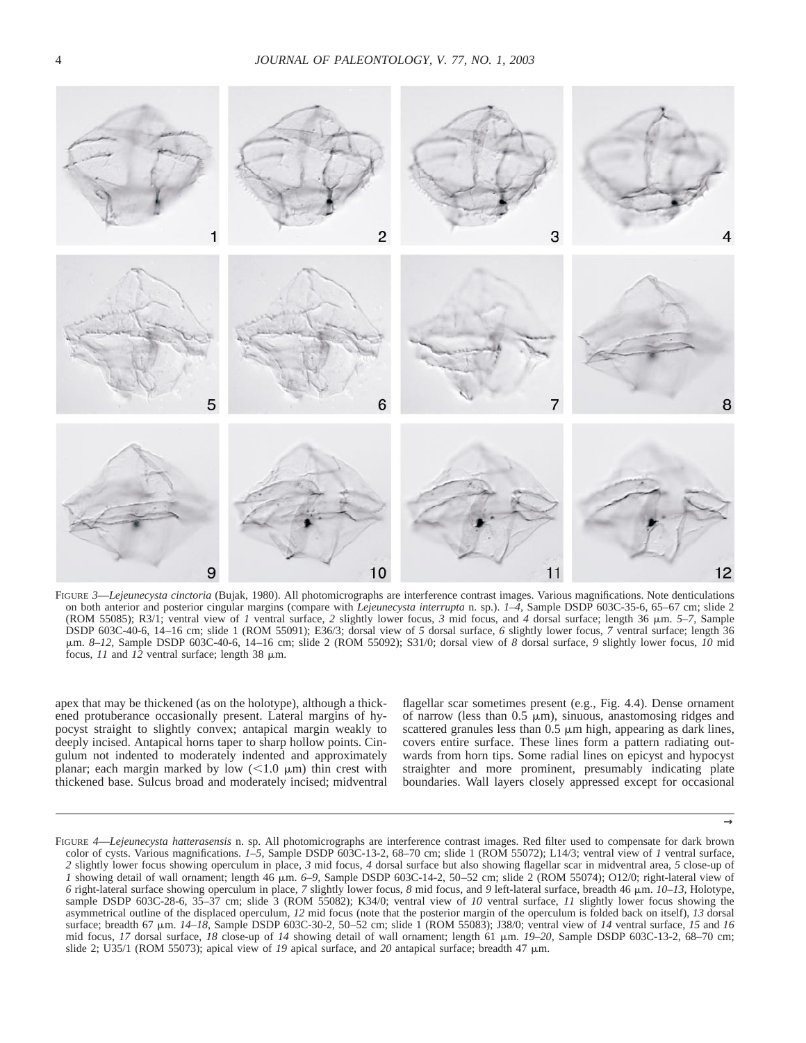

FIGURE *3*—*Lejeunecysta cinctoria* (Bujak, 1980). All photomicrographs are interference contrast images. Various magnifications. Note denticulations on both anterior and posterior cingular margins (compare with *Lejeunecysta interrupta* n. sp.). *1–4,* Sample DSDP 603C-35-6, 65–67 cm; slide 2 (ROM 55085); R3/1; ventral view of *1* ventral surface, 2 slightly lower focus, 3 mid focus, and 4 dorsal surface; length 36 µm. 5-7, Sample DSDP 603C-40-6, 14–16 cm; slide 1 (ROM 55091); E36/3; dorsal view of *5* dorsal surface, *6* slightly lower focus, *7* ventral surface; length 36 mm. *8–12,* Sample DSDP 603C-40-6, 14–16 cm; slide 2 (ROM 55092); S31/0; dorsal view of *8* dorsal surface, *9* slightly lower focus, *10* mid focus,  $11$  and  $12$  ventral surface; length 38  $\mu$ m.

apex that may be thickened (as on the holotype), although a thickened protuberance occasionally present. Lateral margins of hypocyst straight to slightly convex; antapical margin weakly to deeply incised. Antapical horns taper to sharp hollow points. Cingulum not indented to moderately indented and approximately planar; each margin marked by low  $(<1.0 \mu m)$  thin crest with thickened base. Sulcus broad and moderately incised; midventral

flagellar scar sometimes present (e.g., Fig. 4.4). Dense ornament of narrow (less than  $0.5 \mu m$ ), sinuous, anastomosing ridges and scattered granules less than  $0.5 \mu m$  high, appearing as dark lines, covers entire surface. These lines form a pattern radiating outwards from horn tips. Some radial lines on epicyst and hypocyst straighter and more prominent, presumably indicating plate boundaries. Wall layers closely appressed except for occasional

 $\rightarrow$ 

FIGURE *4*—*Lejeunecysta hatterasensis* n. sp. All photomicrographs are interference contrast images. Red filter used to compensate for dark brown color of cysts. Various magnifications. *1–5,* Sample DSDP 603C-13-2, 68–70 cm; slide 1 (ROM 55072); L14/3; ventral view of *1* ventral surface, *2* slightly lower focus showing operculum in place, *3* mid focus, *4* dorsal surface but also showing flagellar scar in midventral area, *5* close-up of *1* showing detail of wall ornament; length 46  $\mu$ m. 6–9, Sample DSDP 603C-14-2, 50–52 cm; slide 2 (ROM 55074); O12/0; right-lateral view of *6* right-lateral surface showing operculum in place, *7* slightly lower focus, *8* mid focus, and *9* left-lateral surface, breadth 46 mm. *10–13,* Holotype, sample DSDP 603C-28-6, 35–37 cm; slide 3 (ROM 55082); K34/0; ventral view of *10* ventral surface, *11* slightly lower focus showing the asymmetrical outline of the displaced operculum, *12* mid focus (note that the posterior margin of the operculum is folded back on itself), *13* dorsal surface; breadth 67  $\mu$ m. *14–18*, Sample DSDP 603C-30-2, 50–52 cm; slide 1 (ROM 55083); J38/0; ventral view of *14* ventral surface, *15* and *16* mid focus, *17* dorsal surface, *18* close-up of *14* showing detail of wall ornament; length 61  $\mu$ m. *19-20*, Sample DSDP 603C-13-2, 68-70 cm; slide 2; U35/1 (ROM 55073); apical view of 19 apical surface, and 20 antapical surface; breadth 47  $\mu$ m.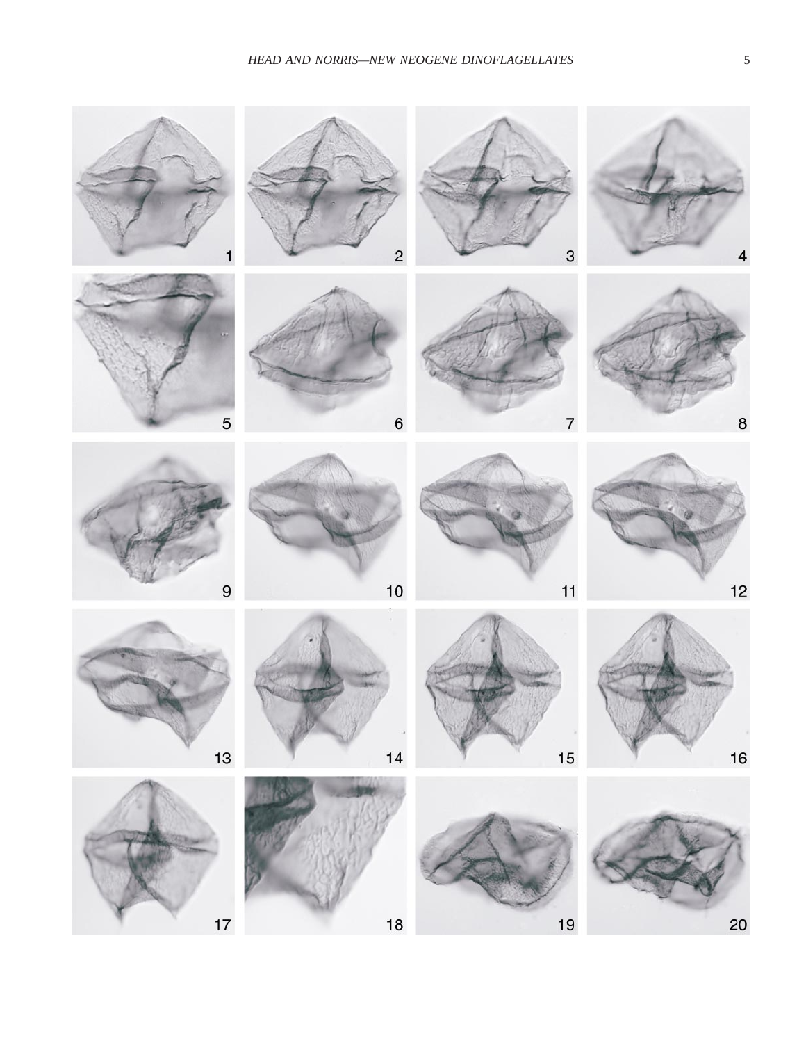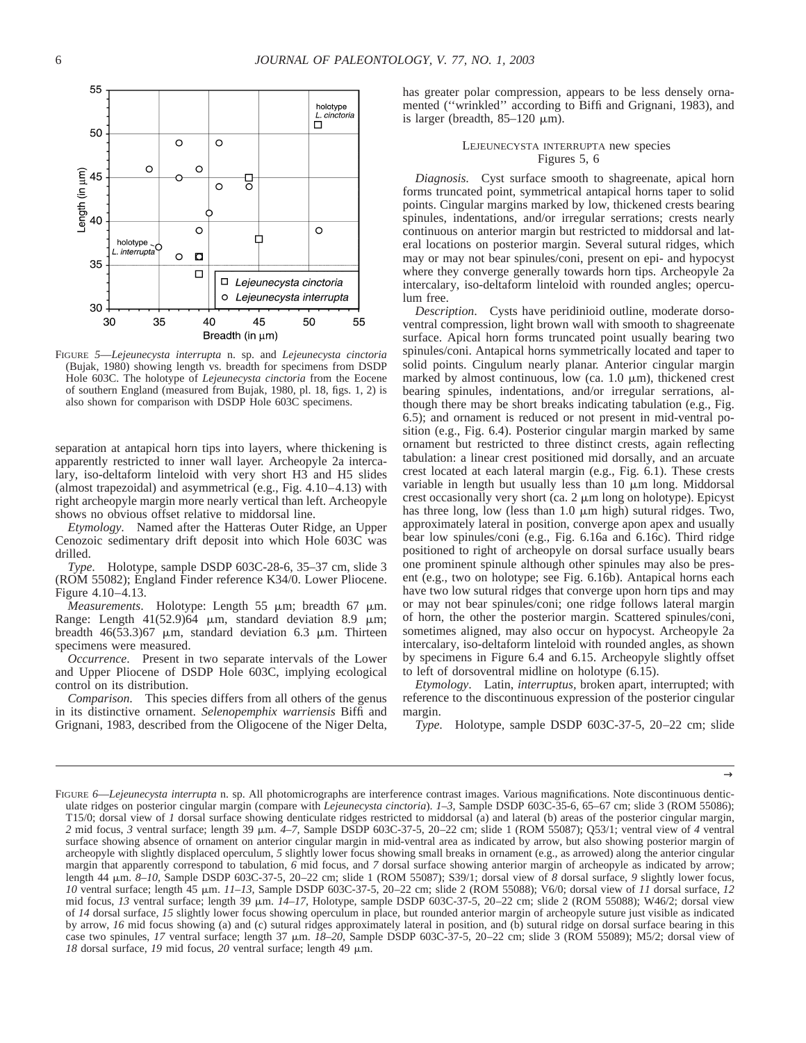FIGURE *5*—*Lejeunecysta interrupta* n. sp. and *Lejeunecysta cinctoria* (Bujak, 1980) showing length vs. breadth for specimens from DSDP Hole 603C. The holotype of *Lejeunecysta cinctoria* from the Eocene of southern England (measured from Bujak, 1980, pl. 18, figs. 1, 2) is also shown for comparison with DSDP Hole 603C specimens.

separation at antapical horn tips into layers, where thickening is apparently restricted to inner wall layer. Archeopyle 2a intercalary, iso-deltaform linteloid with very short H3 and H5 slides (almost trapezoidal) and asymmetrical (e.g., Fig. 4.10–4.13) with right archeopyle margin more nearly vertical than left. Archeopyle shows no obvious offset relative to middorsal line.

*Etymology*.—Named after the Hatteras Outer Ridge, an Upper Cenozoic sedimentary drift deposit into which Hole 603C was drilled.

*Type*.Holotype, sample DSDP 603C-28-6, 35–37 cm, slide 3 (ROM 55082); England Finder reference K34/0. Lower Pliocene. Figure 4.10–4.13.

*Measurements*. Holotype: Length 55 µm; breadth 67 µm. Range: Length  $41(52.9)64$  µm, standard deviation 8.9 µm; breadth  $46(53.3)67 \mu m$ , standard deviation 6.3  $\mu m$ . Thirteen specimens were measured.

*Occurrence*. Present in two separate intervals of the Lower and Upper Pliocene of DSDP Hole 603C, implying ecological control on its distribution.

*Comparison*.—This species differs from all others of the genus in its distinctive ornament. *Selenopemphix warriensis* Biffi and Grignani, 1983, described from the Oligocene of the Niger Delta, has greater polar compression, appears to be less densely ornamented (''wrinkled'' according to Biffi and Grignani, 1983), and is larger (breadth,  $85-120 \mu m$ ).

## LEJEUNECYSTA INTERRUPTA new species Figures 5, 6

*Diagnosis.*—Cyst surface smooth to shagreenate, apical horn forms truncated point, symmetrical antapical horns taper to solid points. Cingular margins marked by low, thickened crests bearing spinules, indentations, and/or irregular serrations; crests nearly continuous on anterior margin but restricted to middorsal and lateral locations on posterior margin. Several sutural ridges, which may or may not bear spinules/coni, present on epi- and hypocyst where they converge generally towards horn tips. Archeopyle 2a intercalary, iso-deltaform linteloid with rounded angles; operculum free.

*Description*.—Cysts have peridinioid outline, moderate dorsoventral compression, light brown wall with smooth to shagreenate surface. Apical horn forms truncated point usually bearing two spinules/coni. Antapical horns symmetrically located and taper to solid points. Cingulum nearly planar. Anterior cingular margin marked by almost continuous, low (ca.  $1.0 \mu m$ ), thickened crest bearing spinules, indentations, and/or irregular serrations, although there may be short breaks indicating tabulation (e.g., Fig. 6.5); and ornament is reduced or not present in mid-ventral position (e.g., Fig. 6.4). Posterior cingular margin marked by same ornament but restricted to three distinct crests, again reflecting tabulation: a linear crest positioned mid dorsally, and an arcuate crest located at each lateral margin (e.g., Fig. 6.1). These crests variable in length but usually less than  $10 \mu m$  long. Middorsal crest occasionally very short (ca.  $2 \mu m$  long on holotype). Epicyst has three long, low (less than  $1.0 \mu m$  high) sutural ridges. Two, approximately lateral in position, converge apon apex and usually bear low spinules/coni (e.g., Fig. 6.16a and 6.16c). Third ridge positioned to right of archeopyle on dorsal surface usually bears one prominent spinule although other spinules may also be present (e.g., two on holotype; see Fig. 6.16b). Antapical horns each have two low sutural ridges that converge upon horn tips and may or may not bear spinules/coni; one ridge follows lateral margin of horn, the other the posterior margin. Scattered spinules/coni, sometimes aligned, may also occur on hypocyst. Archeopyle 2a intercalary, iso-deltaform linteloid with rounded angles, as shown by specimens in Figure 6.4 and 6.15. Archeopyle slightly offset to left of dorsoventral midline on holotype (6.15).

*Etymology*.Latin, *interruptus,* broken apart, interrupted; with reference to the discontinuous expression of the posterior cingular margin.

*Type*.Holotype, sample DSDP 603C-37-5, 20–22 cm; slide

 $\rightarrow$ 



FIGURE *6*—*Lejeunecysta interrupta* n. sp. All photomicrographs are interference contrast images. Various magnifications. Note discontinuous denticulate ridges on posterior cingular margin (compare with *Lejeunecysta cinctoria*). *1–3,* Sample DSDP 603C-35-6, 65–67 cm; slide 3 (ROM 55086); T15/0; dorsal view of *1* dorsal surface showing denticulate ridges restricted to middorsal (a) and lateral (b) areas of the posterior cingular margin, *2* mid focus, *3* ventral surface; length 39 mm. *4–7,* Sample DSDP 603C-37-5, 20–22 cm; slide 1 (ROM 55087); Q53/1; ventral view of *4* ventral surface showing absence of ornament on anterior cingular margin in mid-ventral area as indicated by arrow, but also showing posterior margin of archeopyle with slightly displaced operculum, *5* slightly lower focus showing small breaks in ornament (e.g., as arrowed) along the anterior cingular margin that apparently correspond to tabulation, 6 mid focus, and 7 dorsal surface showing anterior margin of archeopyle as indicated by arrow; length 44 mm. *8–10,* Sample DSDP 603C-37-5, 20–22 cm; slide 1 (ROM 55087); S39/1; dorsal view of *8* dorsal surface, *9* slightly lower focus, *10* ventral surface; length 45 mm. *11–13,* Sample DSDP 603C-37-5, 20–22 cm; slide 2 (ROM 55088); V6/0; dorsal view of *11* dorsal surface, *12* mid focus, 13 ventral surface; length 39 μm. 14–17, Holotype, sample DSDP 603C-37-5, 20–22 cm; slide 2 (ROM 55088); W46/2; dorsal view of 14 dorsal surface, 15 slightly lower focus showing operculum in place, but rounded anterior margin of archeopyle suture just visible as indicated by arrow, 16 mid focus showing (a) and (c) sutural ridges approximately lateral in position, and (b) sutural ridge on dorsal surface bearing in this case two spinules, *17* ventral surface; length 37 mm. *18–20,* Sample DSDP 603C-37-5, 20–22 cm; slide 3 (ROM 55089); M5/2; dorsal view of  $18$  dorsal surface,  $19$  mid focus,  $20$  ventral surface; length  $49 \mu m$ .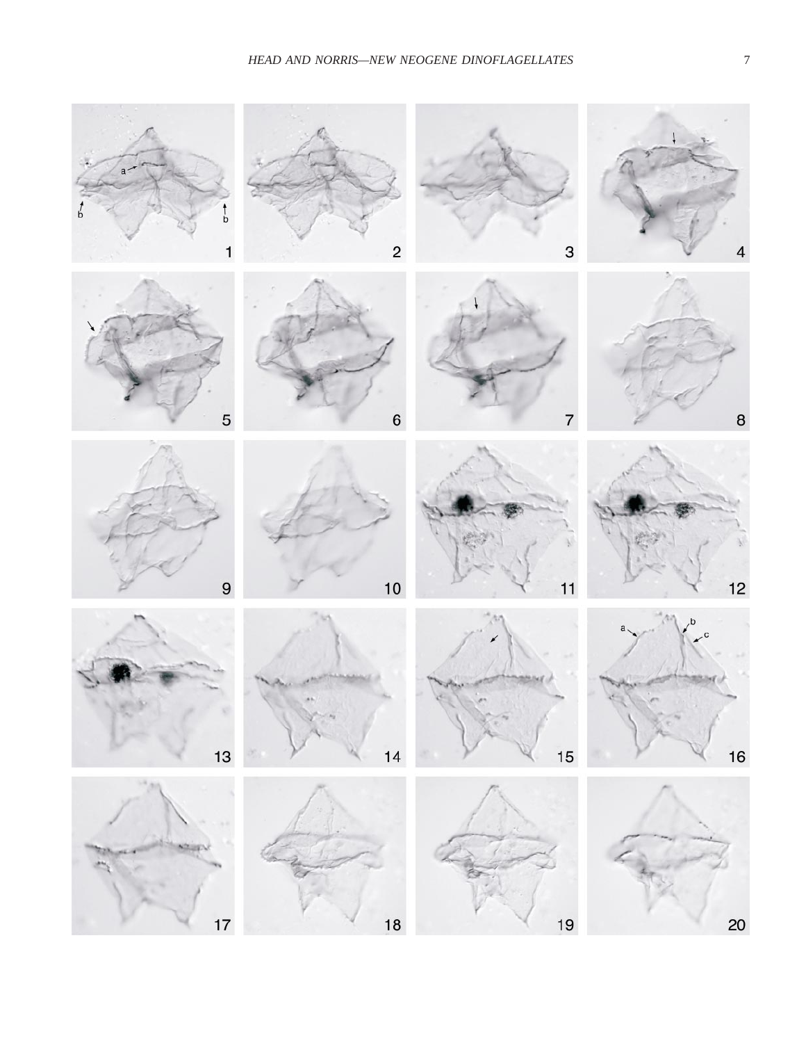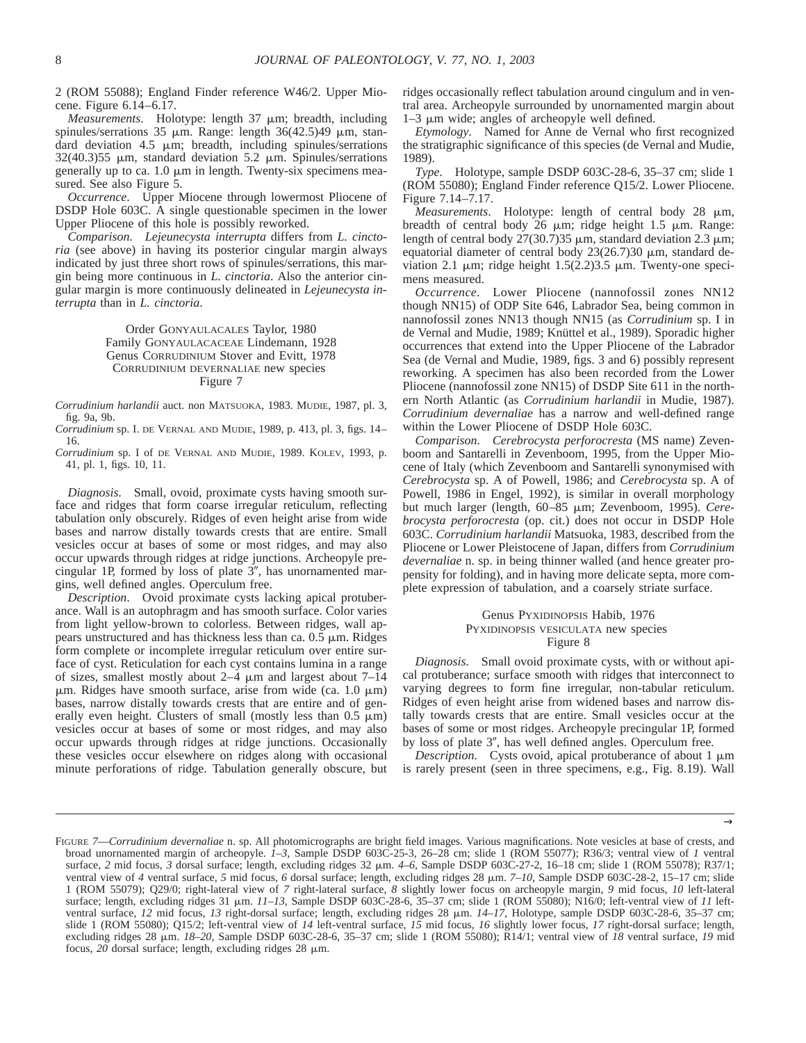2 (ROM 55088); England Finder reference W46/2. Upper Miocene. Figure 6.14–6.17.

*Measurements*.—Holotype: length 37 µm; breadth, including spinules/serrations 35  $\mu$ m. Range: length 36(42.5)49  $\mu$ m, standard deviation 4.5  $\mu$ m; breadth, including spinules/serrations  $32(40.3)55$  µm, standard deviation 5.2 µm. Spinules/serrations generally up to ca. 1.0  $\mu$ m in length. Twenty-six specimens measured. See also Figure 5.

*Occurrence*.—Upper Miocene through lowermost Pliocene of DSDP Hole 603C. A single questionable specimen in the lower Upper Pliocene of this hole is possibly reworked.

*Comparison*.*Lejeunecysta interrupta* differs from *L. cinctoria* (see above) in having its posterior cingular margin always indicated by just three short rows of spinules/serrations, this margin being more continuous in *L. cinctoria*. Also the anterior cingular margin is more continuously delineated in *Lejeunecysta interrupta* than in *L. cinctoria*.

> Order GONYAULACALES Taylor, 1980 Family GONYAULACACEAE Lindemann, 1928 Genus CORRUDINIUM Stover and Evitt, 1978 CORRUDINIUM DEVERNALIAE new species Figure 7

*Corrudinium harlandii* auct. non MATSUOKA, 1983. MUDIE, 1987, pl. 3, fig. 9a, 9b.

*Corrudinium* sp. I. DE VERNAL AND MUDIE, 1989, p. 413, pl. 3, figs. 14– 16.

*Corrudinium* sp. I of DE VERNAL AND MUDIE, 1989. KOLEV, 1993, p. 41, pl. 1, figs. 10, 11.

*Diagnosis.*—Small, ovoid, proximate cysts having smooth surface and ridges that form coarse irregular reticulum, reflecting tabulation only obscurely. Ridges of even height arise from wide bases and narrow distally towards crests that are entire. Small vesicles occur at bases of some or most ridges, and may also occur upwards through ridges at ridge junctions. Archeopyle precingular 1P, formed by loss of plate  $3''$ , has unornamented margins, well defined angles. Operculum free.

*Description*.—Ovoid proximate cysts lacking apical protuberance. Wall is an autophragm and has smooth surface. Color varies from light yellow-brown to colorless. Between ridges, wall appears unstructured and has thickness less than ca.  $0.5 \mu m$ . Ridges form complete or incomplete irregular reticulum over entire surface of cyst. Reticulation for each cyst contains lumina in a range of sizes, smallest mostly about  $2-4 \mu m$  and largest about  $7-14$  $\mu$ m. Ridges have smooth surface, arise from wide (ca. 1.0  $\mu$ m) bases, narrow distally towards crests that are entire and of generally even height. Clusters of small (mostly less than  $0.5 \mu m$ ) vesicles occur at bases of some or most ridges, and may also occur upwards through ridges at ridge junctions. Occasionally these vesicles occur elsewhere on ridges along with occasional minute perforations of ridge. Tabulation generally obscure, but ridges occasionally reflect tabulation around cingulum and in ventral area. Archeopyle surrounded by unornamented margin about  $1-3$  µm wide; angles of archeopyle well defined.

*Etymology.*—Named for Anne de Vernal who first recognized the stratigraphic significance of this species (de Vernal and Mudie, 1989).

*Type*.Holotype, sample DSDP 603C-28-6, 35–37 cm; slide 1 (ROM 55080); England Finder reference Q15/2. Lower Pliocene. Figure 7.14–7.17.

*Measurements*.—Holotype: length of central body 28  $\mu$ m, breadth of central body 26  $\mu$ m; ridge height 1.5  $\mu$ m. Range: length of central body 27(30.7)35  $\mu$ m, standard deviation 2.3  $\mu$ m; equatorial diameter of central body  $23(26.7)30 \mu m$ , standard deviation 2.1  $\mu$ m; ridge height 1.5(2.2)3.5  $\mu$ m. Twenty-one specimens measured.

*Occurrence*.Lower Pliocene (nannofossil zones NN12 though NN15) of ODP Site 646, Labrador Sea, being common in nannofossil zones NN13 though NN15 (as *Corrudinium* sp. I in de Vernal and Mudie, 1989; Knüttel et al., 1989). Sporadic higher occurrences that extend into the Upper Pliocene of the Labrador Sea (de Vernal and Mudie, 1989, figs. 3 and 6) possibly represent reworking. A specimen has also been recorded from the Lower Pliocene (nannofossil zone NN15) of DSDP Site 611 in the northern North Atlantic (as *Corrudinium harlandii* in Mudie, 1987). *Corrudinium devernaliae* has a narrow and well-defined range within the Lower Pliocene of DSDP Hole 603C.

*Comparison*.*Cerebrocysta perforocresta* (MS name) Zevenboom and Santarelli in Zevenboom, 1995, from the Upper Miocene of Italy (which Zevenboom and Santarelli synonymised with *Cerebrocysta* sp. A of Powell, 1986; and *Cerebrocysta* sp. A of Powell, 1986 in Engel, 1992), is similar in overall morphology but much larger (length, 60–85 mm; Zevenboom, 1995). *Cerebrocysta perforocresta* (op. cit.) does not occur in DSDP Hole 603C. *Corrudinium harlandii* Matsuoka, 1983, described from the Pliocene or Lower Pleistocene of Japan, differs from *Corrudinium devernaliae* n. sp. in being thinner walled (and hence greater propensity for folding), and in having more delicate septa, more complete expression of tabulation, and a coarsely striate surface.

## Genus PYXIDINOPSIS Habib, 1976 PYXIDINOPSIS VESICULATA new species Figure 8

*Diagnosis*.—Small ovoid proximate cysts, with or without apical protuberance; surface smooth with ridges that interconnect to varying degrees to form fine irregular, non-tabular reticulum. Ridges of even height arise from widened bases and narrow distally towards crests that are entire. Small vesicles occur at the bases of some or most ridges. Archeopyle precingular 1P, formed by loss of plate 3", has well defined angles. Operculum free.

*Description*.—Cysts ovoid, apical protuberance of about 1  $\mu$ m is rarely present (seen in three specimens, e.g., Fig. 8.19). Wall

 $\rightarrow$ 

FIGURE *7*—*Corrudinium devernaliae* n. sp. All photomicrographs are bright field images. Various magnifications. Note vesicles at base of crests, and broad unornamented margin of archeopyle. *1–3,* Sample DSDP 603C-25-3, 26–28 cm; slide 1 (ROM 55077); R36/3; ventral view of *1* ventral surface, *2* mid focus, *3* dorsal surface; length, excluding ridges 32 mm. *4–6,* Sample DSDP 603C-27-2, 16–18 cm; slide 1 (ROM 55078); R37/1; ventral view of 4 ventral surface, 5 mid focus, 6 dorsal surface; length, excluding ridges 28  $\mu$ m. 7–10, Sample DSDP 603C-28-2, 15–17 cm; slide 1 (ROM 55079); Q29/0; right-lateral view of *7* right-lateral surface, *8* slightly lower focus on archeopyle margin, *9* mid focus, *10* left-lateral surface; length, excluding ridges 31  $\mu$ m. *11–13*, Sample DSDP 603C-28-6, 35–37 cm; slide 1 (ROM 55080); N16/0; left-ventral view of *11* leftventral surface, 12 mid focus, 13 right-dorsal surface; length, excluding ridges 28  $\mu$ m. 14–17, Holotype, sample DSDP 603C-28-6, 35–37 cm; slide 1 (ROM 55080); Q15/2; left-ventral view of *14* left-ventral surface, *15* mid focus, *16* slightly lower focus, *17* right-dorsal surface; length, excluding ridges 28 mm. *18–20,* Sample DSDP 603C-28-6, 35–37 cm; slide 1 (ROM 55080); R14/1; ventral view of *18* ventral surface, *19* mid focus,  $20$  dorsal surface; length, excluding ridges  $28 \mu m$ .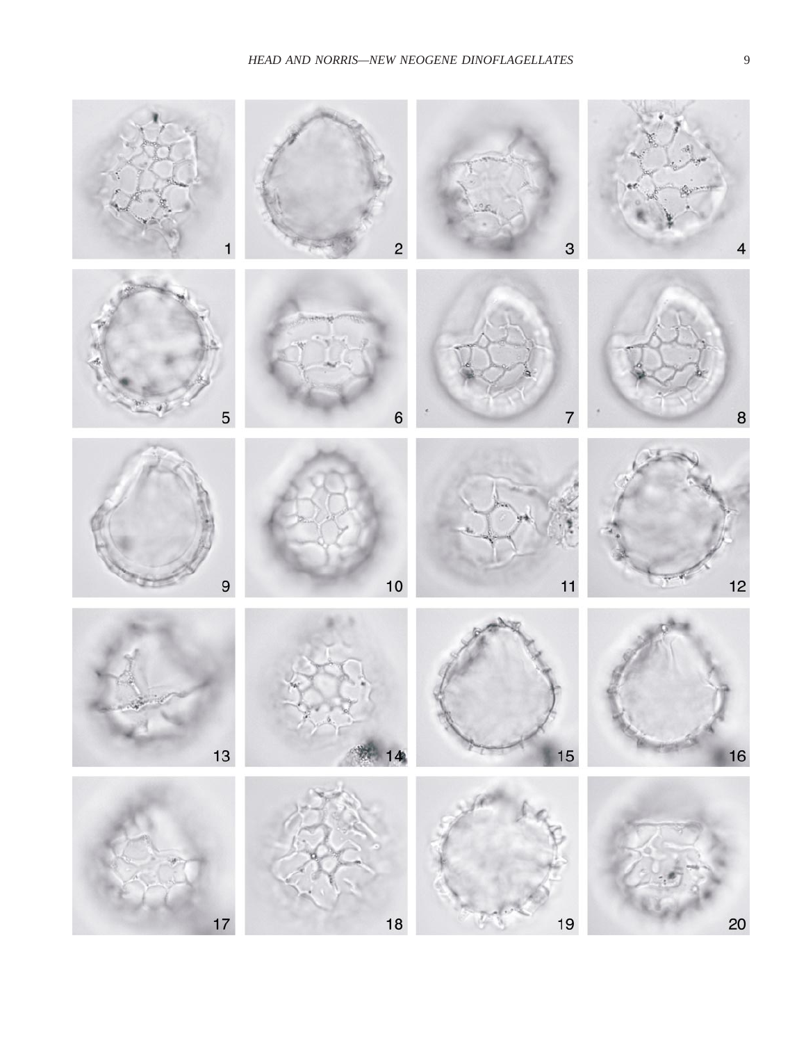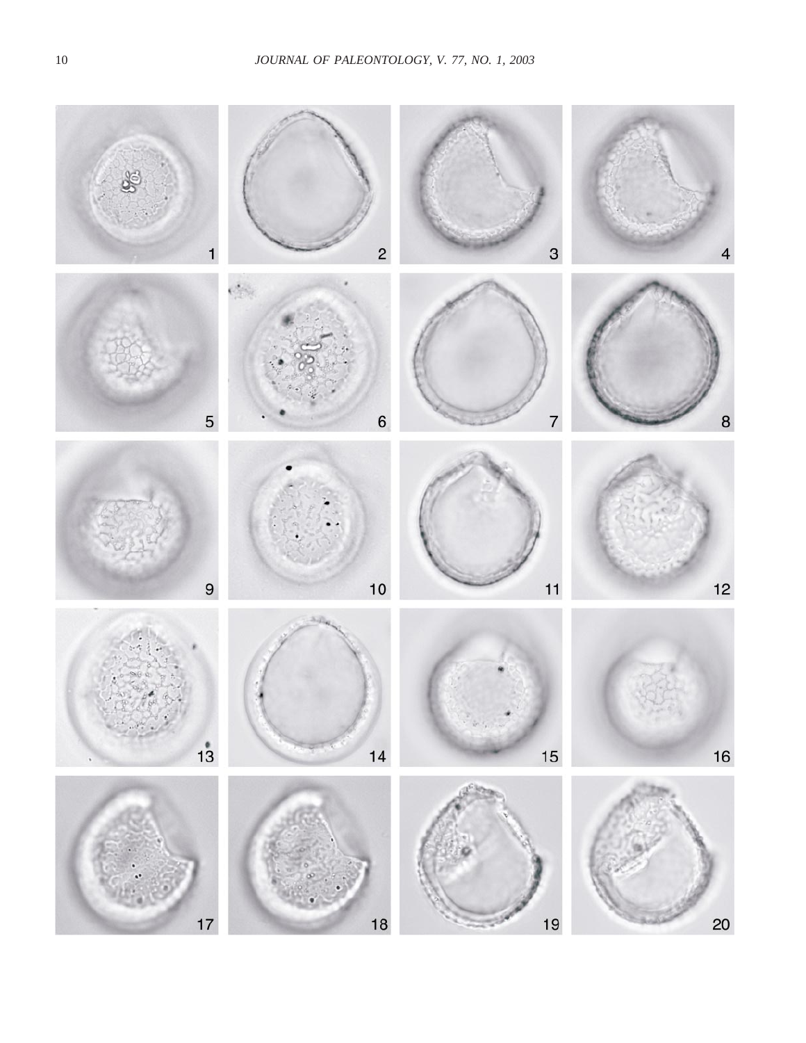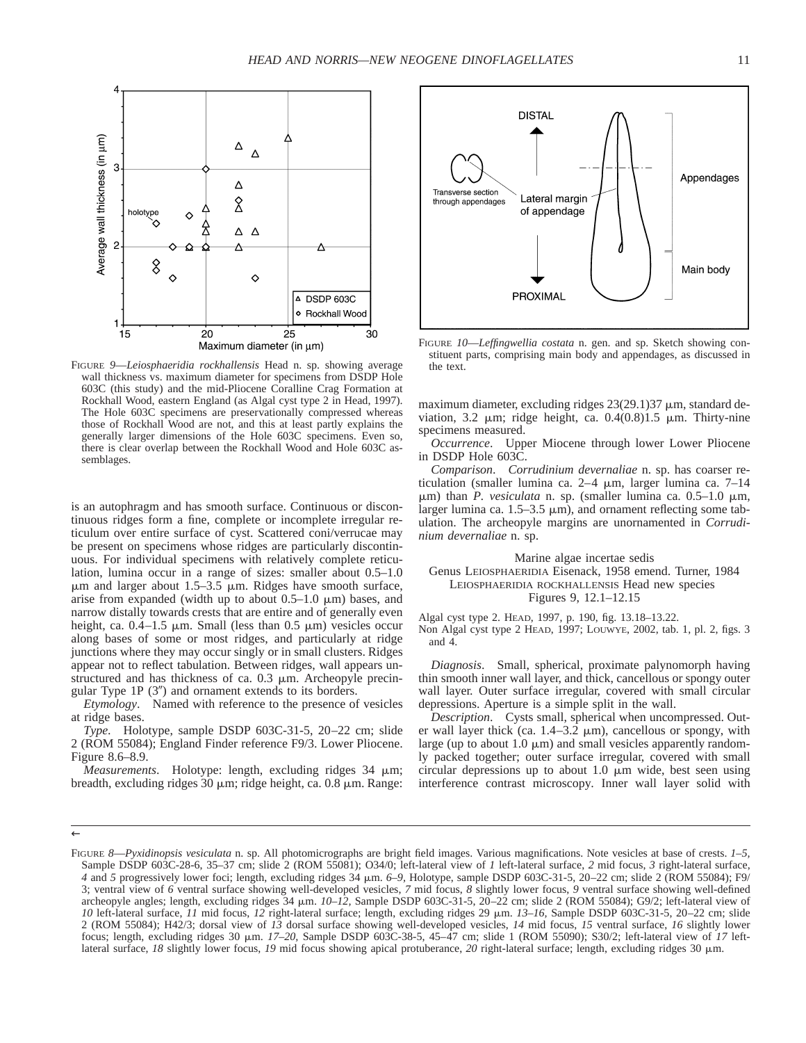

FIGURE *9*—*Leiosphaeridia rockhallensis* Head n. sp. showing average wall thickness vs. maximum diameter for specimens from DSDP Hole 603C (this study) and the mid-Pliocene Coralline Crag Formation at Rockhall Wood, eastern England (as Algal cyst type 2 in Head, 1997). The Hole 603C specimens are preservationally compressed whereas those of Rockhall Wood are not, and this at least partly explains the generally larger dimensions of the Hole 603C specimens. Even so, there is clear overlap between the Rockhall Wood and Hole 603C assemblages.

is an autophragm and has smooth surface. Continuous or discontinuous ridges form a fine, complete or incomplete irregular reticulum over entire surface of cyst. Scattered coni/verrucae may be present on specimens whose ridges are particularly discontinuous. For individual specimens with relatively complete reticulation, lumina occur in a range of sizes: smaller about 0.5–1.0  $\mu$ m and larger about 1.5–3.5  $\mu$ m. Ridges have smooth surface, arise from expanded (width up to about  $0.5-1.0 \mu m$ ) bases, and narrow distally towards crests that are entire and of generally even height, ca.  $0.\dot{4}$ -1.5 µm. Small (less than 0.5 µm) vesicles occur along bases of some or most ridges, and particularly at ridge junctions where they may occur singly or in small clusters. Ridges appear not to reflect tabulation. Between ridges, wall appears unstructured and has thickness of ca.  $0.3 \mu$ m. Archeopyle precingular Type  $1P(3'')$  and ornament extends to its borders.

*Etymology*.—Named with reference to the presence of vesicles at ridge bases.

*Type*.Holotype, sample DSDP 603C-31-5, 20–22 cm; slide 2 (ROM 55084); England Finder reference F9/3. Lower Pliocene. Figure 8.6–8.9.

*Measurements*.—Holotype: length, excluding ridges 34  $\mu$ m; breadth, excluding ridges 30 µm; ridge height, ca. 0.8 µm. Range:

←



FIGURE *10*—*Leffingwellia costata* n. gen. and sp. Sketch showing constituent parts, comprising main body and appendages, as discussed in the text.

maximum diameter, excluding ridges  $23(29.1)37 \mu m$ , standard deviation, 3.2  $\mu$ m; ridge height, ca. 0.4(0.8)1.5  $\mu$ m. Thirty-nine specimens measured.

*Occurrence*.—Upper Miocene through lower Lower Pliocene in DSDP Hole 603C.

*Comparison*.*Corrudinium devernaliae* n. sp. has coarser reticulation (smaller lumina ca.  $2-4 \mu m$ , larger lumina ca.  $7-14$  $\mu$ m) than *P. vesiculata* n. sp. (smaller lumina ca. 0.5–1.0  $\mu$ m, larger lumina ca.  $1.5-3.5 \mu m$ ), and ornament reflecting some tabulation. The archeopyle margins are unornamented in *Corrudinium devernaliae* n. sp.

Marine algae incertae sedis Genus LEIOSPHAERIDIA Eisenack, 1958 emend. Turner, 1984 LEIOSPHAERIDIA ROCKHALLENSIS Head new species Figures 9, 12.1–12.15

Algal cyst type 2. HEAD, 1997, p. 190, fig. 13.18–13.22. Non Algal cyst type 2 HEAD, 1997; LOUWYE, 2002, tab. 1, pl. 2, figs. 3 and 4.

Diagnosis.-Small, spherical, proximate palynomorph having thin smooth inner wall layer, and thick, cancellous or spongy outer wall layer. Outer surface irregular, covered with small circular depressions. Aperture is a simple split in the wall.

*Description*.—Cysts small, spherical when uncompressed. Outer wall layer thick (ca.  $1.4-3.2 \mu m$ ), cancellous or spongy, with large (up to about 1.0  $\mu$ m) and small vesicles apparently randomly packed together; outer surface irregular, covered with small circular depressions up to about 1.0  $\mu$ m wide, best seen using interference contrast microscopy. Inner wall layer solid with

FIGURE *8*—*Pyxidinopsis vesiculata* n. sp. All photomicrographs are bright field images. Various magnifications. Note vesicles at base of crests. *1–5,* Sample DSDP 603C-28-6, 35–37 cm; slide 2 (ROM 55081); O34/0; left-lateral view of *1* left-lateral surface, *2* mid focus, *3* right-lateral surface, *4* and *5* progressively lower foci; length, excluding ridges 34  $\mu$ m. 6–9, Holotype, sample DSDP 603C-31-5, 20–22 cm; slide 2 (ROM 55084); F9/ 3; ventral view of *6* ventral surface showing well-developed vesicles, *7* mid focus, *8* slightly lower focus, *9* ventral surface showing well-defined archeopyle angles; length, excluding ridges 34  $\mu$ m. *10–12*, Sample DSDP 603C-31-5, 20–22 cm; slide 2 (ROM 55084); G9/2; left-lateral view of *10* left-lateral surface, *11* mid focus, *12* right-lateral surface; length, excluding ridges 29 mm. *13–16,* Sample DSDP 603C-31-5, 20–22 cm; slide 2 (ROM 55084); H42/3; dorsal view of *13* dorsal surface showing well-developed vesicles, *14* mid focus, *15* ventral surface, *16* slightly lower focus; length, excluding ridges 30 mm. *17–20,* Sample DSDP 603C-38-5, 45–47 cm; slide 1 (ROM 55090); S30/2; left-lateral view of *17* leftlateral surface, *18* slightly lower focus, *19* mid focus showing apical protuberance, *20* right-lateral surface; length, excluding ridges 30 mm.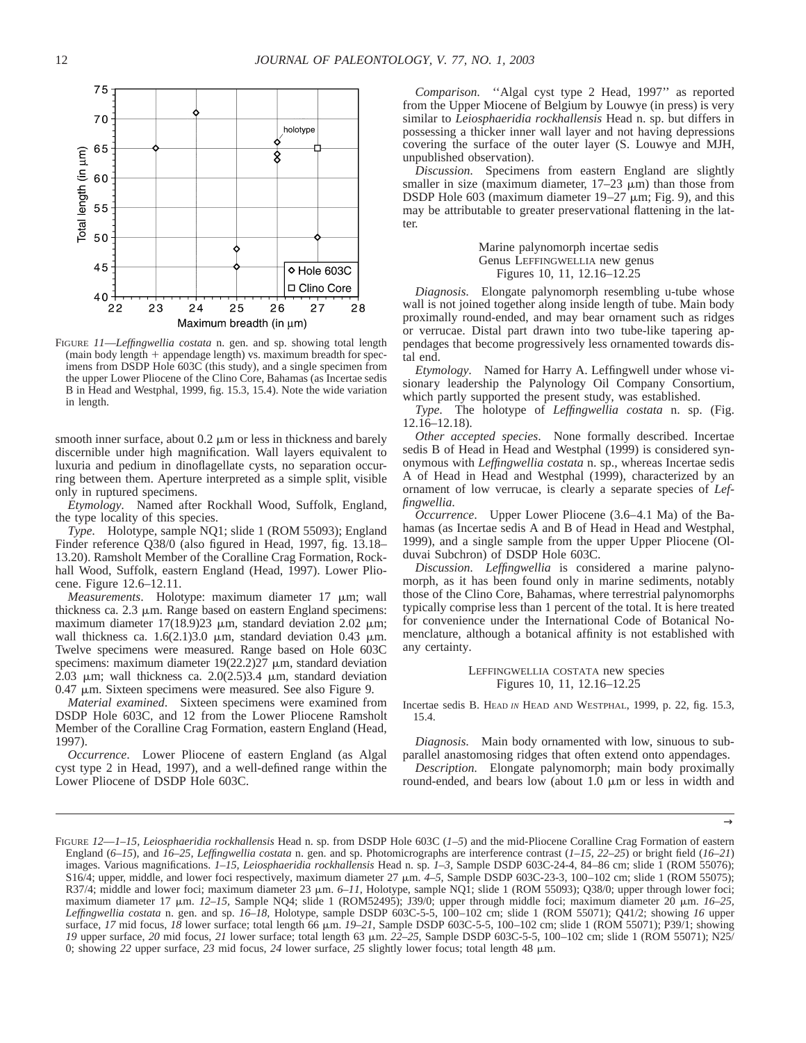

FIGURE *11*—*Leffingwellia costata* n. gen. and sp. showing total length (main body length  $+$  appendage length) vs. maximum breadth for specimens from DSDP Hole 603C (this study), and a single specimen from the upper Lower Pliocene of the Clino Core, Bahamas (as Incertae sedis B in Head and Westphal, 1999, fig. 15.3, 15.4). Note the wide variation in length.

smooth inner surface, about  $0.2 \mu m$  or less in thickness and barely discernible under high magnification. Wall layers equivalent to luxuria and pedium in dinoflagellate cysts, no separation occurring between them. Aperture interpreted as a simple split, visible only in ruptured specimens.

*Etymology.*—Named after Rockhall Wood, Suffolk, England, the type locality of this species.

*Type*.—Holotype, sample NQ1; slide 1 (ROM 55093); England Finder reference Q38/0 (also figured in Head, 1997, fig. 13.18– 13.20). Ramsholt Member of the Coralline Crag Formation, Rockhall Wood, Suffolk, eastern England (Head, 1997). Lower Pliocene. Figure 12.6–12.11.

*Measurements*.—Holotype: maximum diameter 17 μm; wall thickness ca.  $2.3 \mu m$ . Range based on eastern England specimens: maximum diameter  $17(18.9)23 \mu m$ , standard deviation 2.02  $\mu m$ ; wall thickness ca.  $1.6(2.1)3.0 \mu m$ , standard deviation 0.43  $\mu$ m. Twelve specimens were measured. Range based on Hole 603C specimens: maximum diameter  $19(22.2)27 \mu m$ , standard deviation 2.03  $\mu$ m; wall thickness ca. 2.0(2.5)3.4  $\mu$ m, standard deviation 0.47 µm. Sixteen specimens were measured. See also Figure 9.

*Material examined*.—Sixteen specimens were examined from DSDP Hole 603C, and 12 from the Lower Pliocene Ramsholt Member of the Coralline Crag Formation, eastern England (Head, 1997).

*Occurrence*.—Lower Pliocene of eastern England (as Algal cyst type 2 in Head, 1997), and a well-defined range within the Lower Pliocene of DSDP Hole 603C.

*Comparison*.''Algal cyst type 2 Head, 1997'' as reported from the Upper Miocene of Belgium by Louwye (in press) is very similar to *Leiosphaeridia rockhallensis* Head n. sp. but differs in possessing a thicker inner wall layer and not having depressions covering the surface of the outer layer (S. Louwye and MJH, unpublished observation).

*Discussion*.—Specimens from eastern England are slightly smaller in size (maximum diameter,  $17-23 \mu m$ ) than those from DSDP Hole 603 (maximum diameter  $19-27 \mu m$ ; Fig. 9), and this may be attributable to greater preservational flattening in the latter.

> Marine palynomorph incertae sedis Genus LEFFINGWELLIA new genus Figures 10, 11, 12.16–12.25

*Diagnosis*.—Elongate palynomorph resembling u-tube whose wall is not joined together along inside length of tube. Main body proximally round-ended, and may bear ornament such as ridges or verrucae. Distal part drawn into two tube-like tapering appendages that become progressively less ornamented towards distal end.

*Etymology*.—Named for Harry A. Leffingwell under whose visionary leadership the Palynology Oil Company Consortium, which partly supported the present study, was established.

*Type*.The holotype of *Leffingwellia costata* n. sp. (Fig. 12.16–12.18).

Other accepted species.—None formally described. Incertae sedis B of Head in Head and Westphal (1999) is considered synonymous with *Leffingwellia costata* n. sp., whereas Incertae sedis A of Head in Head and Westphal (1999), characterized by an ornament of low verrucae, is clearly a separate species of *Leffingwellia*.

*Occurrence*.—Upper Lower Pliocene (3.6–4.1 Ma) of the Bahamas (as Incertae sedis A and B of Head in Head and Westphal, 1999), and a single sample from the upper Upper Pliocene (Olduvai Subchron) of DSDP Hole 603C.

*Discussion*.*Leffingwellia* is considered a marine palynomorph, as it has been found only in marine sediments, notably those of the Clino Core, Bahamas, where terrestrial palynomorphs typically comprise less than 1 percent of the total. It is here treated for convenience under the International Code of Botanical Nomenclature, although a botanical affinity is not established with any certainty.

> LEFFINGWELLIA COSTATA new species Figures 10, 11, 12.16–12.25

Incertae sedis B. HEAD *IN* HEAD AND WESTPHAL, 1999, p. 22, fig. 15.3, 15.4.

Diagnosis.—Main body ornamented with low, sinuous to subparallel anastomosing ridges that often extend onto appendages.

*Description*.Elongate palynomorph; main body proximally round-ended, and bears low (about  $1.0 \mu m$  or less in width and

 $\rightarrow$ 

FIGURE *12*—*1–15, Leiosphaeridia rockhallensis* Head n. sp. from DSDP Hole 603C (*1–5*) and the mid-Pliocene Coralline Crag Formation of eastern England (*6–15*), and *16–25, Leffingwellia costata* n. gen. and sp. Photomicrographs are interference contrast (*1–15, 22–25*) or bright field (*16–21*) images. Various magnifications. *1–15, Leiosphaeridia rockhallensis* Head n. sp. *1–3,* Sample DSDP 603C-24-4, 84–86 cm; slide 1 (ROM 55076); S16/4; upper, middle, and lower foci respectively, maximum diameter 27 mm. *4–5,* Sample DSDP 603C-23-3, 100–102 cm; slide 1 (ROM 55075); R37/4; middle and lower foci; maximum diameter 23  $\mu$ m. 6–11, Holotype, sample NQ1; slide 1 (ROM 55093); Q38/0; upper through lower foci; maximum diameter 17 μm. *12–15*, Sample NQ4; slide 1 (ROM52495); J39/0; upper through middle foci; maximum diameter 20 μm. *16–25*, *Leffingwellia costata* n. gen. and sp. *16–18,* Holotype, sample DSDP 603C-5-5, 100–102 cm; slide 1 (ROM 55071); Q41/2; showing *16* upper surface, 17 mid focus, 18 lower surface; total length 66  $\mu$ m. 19–21, Sample DSDP 603C-5-5, 100–102 cm; slide 1 (ROM 55071); P39/1; showing *19* upper surface, *20* mid focus, *21* lower surface; total length 63 mm. *22–25,* Sample DSDP 603C-5-5, 100–102 cm; slide 1 (ROM 55071); N25/ 0; showing *22* upper surface, *23* mid focus, *24* lower surface, *25* slightly lower focus; total length 48 mm.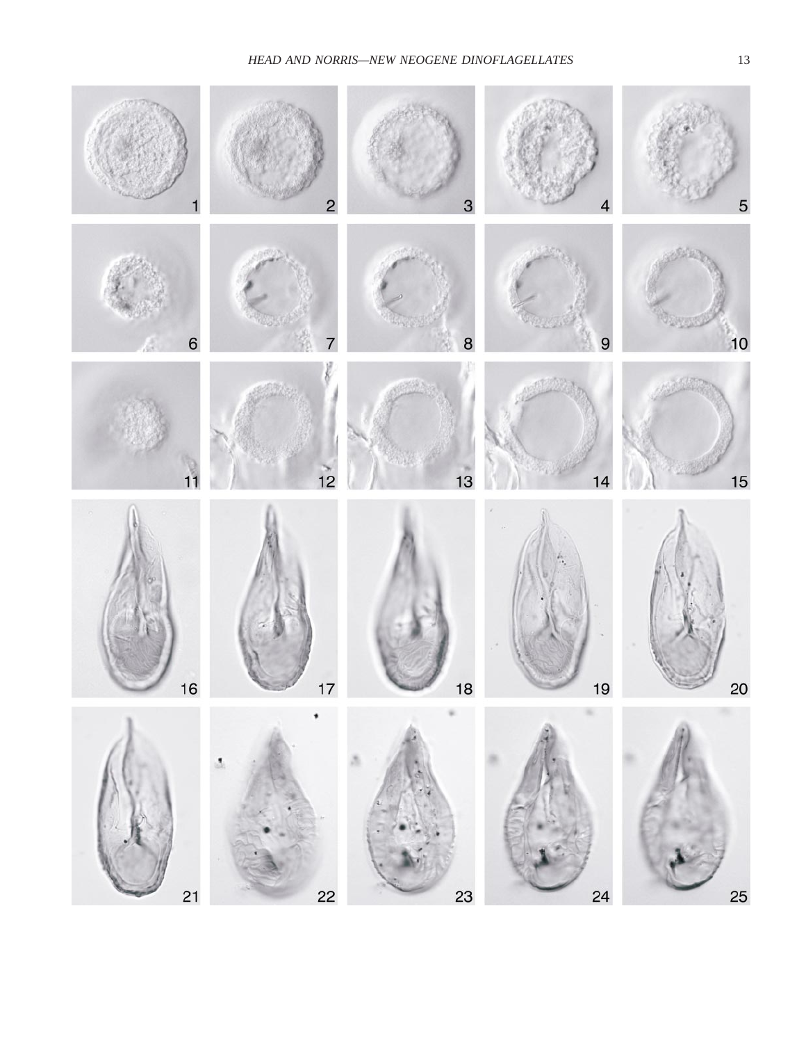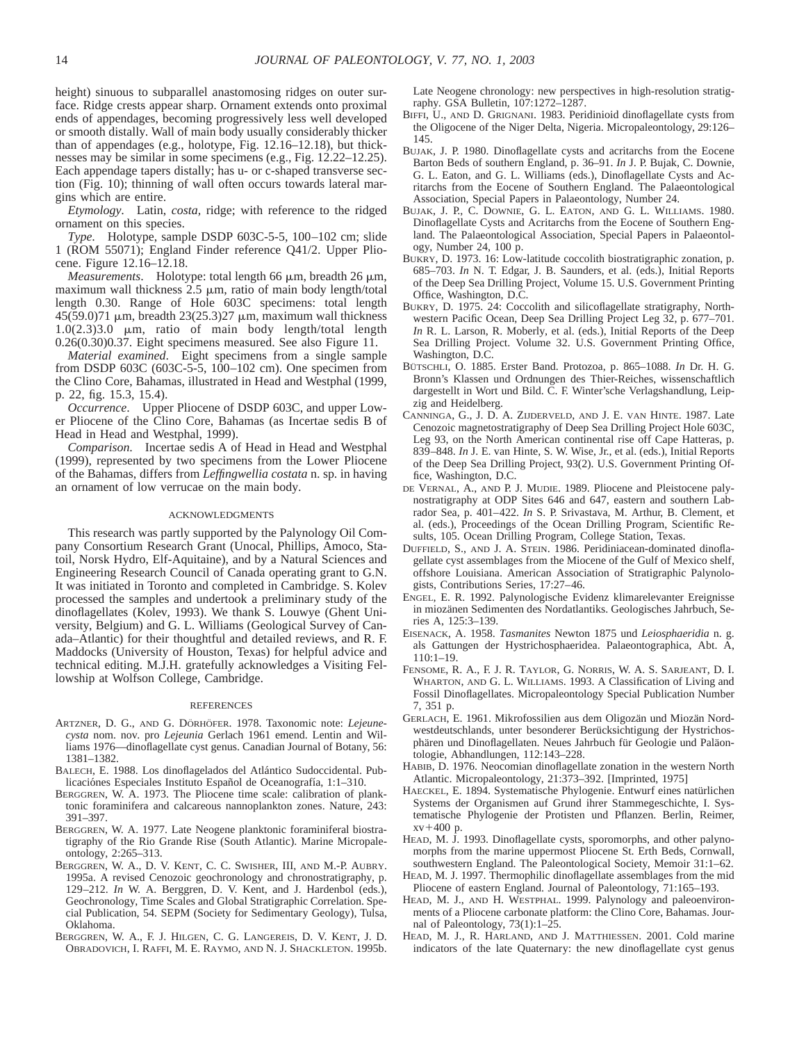height) sinuous to subparallel anastomosing ridges on outer surface. Ridge crests appear sharp. Ornament extends onto proximal ends of appendages, becoming progressively less well developed or smooth distally. Wall of main body usually considerably thicker than of appendages (e.g., holotype, Fig. 12.16–12.18), but thicknesses may be similar in some specimens (e.g., Fig. 12.22–12.25). Each appendage tapers distally; has u- or c-shaped transverse section (Fig. 10); thinning of wall often occurs towards lateral margins which are entire.

*Etymology*.Latin, *costa,* ridge; with reference to the ridged ornament on this species.

*Type*.Holotype, sample DSDP 603C-5-5, 100–102 cm; slide 1 (ROM 55071); England Finder reference Q41/2. Upper Pliocene. Figure 12.16–12.18.

*Measurements*.—Holotype: total length 66 μm, breadth 26 μm, maximum wall thickness  $2.5 \mu m$ , ratio of main body length/total length 0.30. Range of Hole 603C specimens: total length  $45(59.0)71 \mu m$ , breadth  $23(25.3)27 \mu m$ , maximum wall thickness  $1.0(2.3)3.0$   $\mu$ m, ratio of main body length/total length 0.26(0.30)0.37. Eight specimens measured. See also Figure 11.

*Material examined*.—Eight specimens from a single sample from DSDP 603C (603C-5-5, 100–102 cm). One specimen from the Clino Core, Bahamas, illustrated in Head and Westphal (1999, p. 22, fig. 15.3, 15.4).

*Occurrence*.—Upper Pliocene of DSDP 603C, and upper Lower Pliocene of the Clino Core, Bahamas (as Incertae sedis B of Head in Head and Westphal, 1999).

Comparison.**-**Incertae sedis A of Head in Head and Westphal (1999), represented by two specimens from the Lower Pliocene of the Bahamas, differs from *Leffingwellia costata* n. sp. in having an ornament of low verrucae on the main body.

## ACKNOWLEDGMENTS

This research was partly supported by the Palynology Oil Company Consortium Research Grant (Unocal, Phillips, Amoco, Statoil, Norsk Hydro, Elf-Aquitaine), and by a Natural Sciences and Engineering Research Council of Canada operating grant to G.N. It was initiated in Toronto and completed in Cambridge. S. Kolev processed the samples and undertook a preliminary study of the dinoflagellates (Kolev, 1993). We thank S. Louwye (Ghent University, Belgium) and G. L. Williams (Geological Survey of Canada–Atlantic) for their thoughtful and detailed reviews, and R. F. Maddocks (University of Houston, Texas) for helpful advice and technical editing. M.J.H. gratefully acknowledges a Visiting Fellowship at Wolfson College, Cambridge.

#### REFERENCES

- ARTZNER, D. G., AND G. DÖRHÖFER. 1978. Taxonomic note: Lejeune*cysta* nom. nov. pro *Lejeunia* Gerlach 1961 emend. Lentin and Williams 1976—dinoflagellate cyst genus. Canadian Journal of Botany, 56: 1381–1382.
- BALECH, E. 1988. Los dinoflagelados del Atlántico Sudoccidental. Publicaciónes Especiales Instituto Español de Oceanografía, 1:1–310.
- BERGGREN, W. A. 1973. The Pliocene time scale: calibration of planktonic foraminifera and calcareous nannoplankton zones. Nature, 243: 391–397.
- BERGGREN, W. A. 1977. Late Neogene planktonic foraminiferal biostratigraphy of the Rio Grande Rise (South Atlantic). Marine Micropaleontology, 2:265–313.
- BERGGREN, W. A., D. V. KENT, C. C. SWISHER, III, AND M.-P. AUBRY. 1995a. A revised Cenozoic geochronology and chronostratigraphy, p. 129–212. *In* W. A. Berggren, D. V. Kent, and J. Hardenbol (eds.), Geochronology, Time Scales and Global Stratigraphic Correlation. Special Publication, 54. SEPM (Society for Sedimentary Geology), Tulsa, Oklahoma.
- BERGGREN, W. A., F. J. HILGEN, C. G. LANGEREIS, D. V. KENT, J. D. OBRADOVICH, I. RAFFI, M. E. RAYMO, AND N. J. SHACKLETON. 1995b.

Late Neogene chronology: new perspectives in high-resolution stratigraphy. GSA Bulletin, 107:1272–1287.

- BIFFI, U., AND D. GRIGNANI. 1983. Peridinioid dinoflagellate cysts from the Oligocene of the Niger Delta, Nigeria. Micropaleontology, 29:126– 145.
- BUJAK, J. P. 1980. Dinoflagellate cysts and acritarchs from the Eocene Barton Beds of southern England, p. 36–91. *In* J. P. Bujak, C. Downie, G. L. Eaton, and G. L. Williams (eds.), Dinoflagellate Cysts and Acritarchs from the Eocene of Southern England. The Palaeontological Association, Special Papers in Palaeontology, Number 24.
- BUJAK, J. P., C. DOWNIE, G. L. EATON, AND G. L. WILLIAMS. 1980. Dinoflagellate Cysts and Acritarchs from the Eocene of Southern England. The Palaeontological Association, Special Papers in Palaeontology, Number 24, 100 p.
- BUKRY, D. 1973. 16: Low-latitude coccolith biostratigraphic zonation, p. 685–703. *In* N. T. Edgar, J. B. Saunders, et al. (eds.), Initial Reports of the Deep Sea Drilling Project, Volume 15. U.S. Government Printing Office, Washington, D.C.
- BUKRY, D. 1975. 24: Coccolith and silicoflagellate stratigraphy, Northwestern Pacific Ocean, Deep Sea Drilling Project Leg 32, p. 677–701. *In* R. L. Larson, R. Moberly, et al. (eds.), Initial Reports of the Deep Sea Drilling Project. Volume 32. U.S. Government Printing Office, Washington, D.C.
- BÜTSCHLI, O. 1885. Erster Band. Protozoa, p. 865-1088. *In* Dr. H. G. Bronn's Klassen und Ordnungen des Thier-Reiches, wissenschaftlich dargestellt in Wort und Bild. C. F. Winter'sche Verlagshandlung, Leipzig and Heidelberg.
- CANNINGA, G., J. D. A. ZIJDERVELD, AND J. E. VAN HINTE. 1987. Late Cenozoic magnetostratigraphy of Deep Sea Drilling Project Hole 603C, Leg 93, on the North American continental rise off Cape Hatteras, p. 839–848. *In* J. E. van Hinte, S. W. Wise, Jr., et al. (eds.), Initial Reports of the Deep Sea Drilling Project, 93(2). U.S. Government Printing Office, Washington, D.C.
- DE VERNAL, A., AND P. J. MUDIE. 1989. Pliocene and Pleistocene palynostratigraphy at ODP Sites 646 and 647, eastern and southern Labrador Sea, p. 401–422. *In* S. P. Srivastava, M. Arthur, B. Clement, et al. (eds.), Proceedings of the Ocean Drilling Program, Scientific Results, 105. Ocean Drilling Program, College Station, Texas.
- DUFFIELD, S., AND J. A. STEIN. 1986. Peridiniacean-dominated dinoflagellate cyst assemblages from the Miocene of the Gulf of Mexico shelf, offshore Louisiana. American Association of Stratigraphic Palynologists, Contributions Series, 17:27–46.
- ENGEL, E. R. 1992. Palynologische Evidenz klimarelevanter Ereignisse in miozänen Sedimenten des Nordatlantiks. Geologisches Jahrbuch, Series A, 125:3–139.
- EISENACK, A. 1958. *Tasmanites* Newton 1875 und *Leiosphaeridia* n. g. als Gattungen der Hystrichosphaeridea. Palaeontographica, Abt. A, 110:1–19.
- FENSOME, R. A., F. J. R. TAYLOR, G. NORRIS, W. A. S. SARJEANT, D. I. WHARTON, AND G. L. WILLIAMS. 1993. A Classification of Living and Fossil Dinoflagellates. Micropaleontology Special Publication Number 7, 351 p.
- GERLACH, E. 1961. Mikrofossilien aus dem Oligozän und Miozän Nordwestdeutschlands, unter besonderer Berücksichtigung der Hystrichosphären und Dinoflagellaten. Neues Jahrbuch für Geologie und Paläontologie, Abhandlungen, 112:143–228.
- HABIB, D. 1976. Neocomian dinoflagellate zonation in the western North Atlantic. Micropaleontology, 21:373–392. [Imprinted, 1975]
- HAECKEL, E. 1894. Systematische Phylogenie. Entwurf eines natürlichen Systems der Organismen auf Grund ihrer Stammegeschichte, I. Systematische Phylogenie der Protisten und Pflanzen. Berlin, Reimer,  $xy+400$  p.
- HEAD, M. J. 1993. Dinoflagellate cysts, sporomorphs, and other palynomorphs from the marine uppermost Pliocene St. Erth Beds, Cornwall, southwestern England. The Paleontological Society, Memoir 31:1–62.
- HEAD, M. J. 1997. Thermophilic dinoflagellate assemblages from the mid Pliocene of eastern England. Journal of Paleontology, 71:165–193.
- HEAD, M. J., AND H. WESTPHAL. 1999. Palynology and paleoenvironments of a Pliocene carbonate platform: the Clino Core, Bahamas. Journal of Paleontology, 73(1):1–25.
- HEAD, M. J., R. HARLAND, AND J. MATTHIESSEN. 2001. Cold marine indicators of the late Quaternary: the new dinoflagellate cyst genus